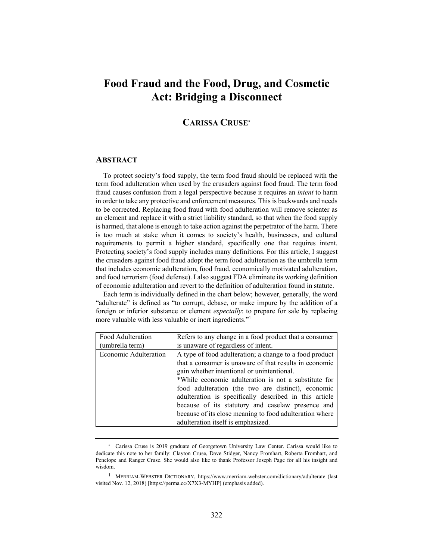# **Food Fraud and the Food, Drug, and Cosmetic Act: Bridging a Disconnect**

# **CARISSA CRUSE\***

### **ABSTRACT**

To protect society's food supply, the term food fraud should be replaced with the term food adulteration when used by the crusaders against food fraud. The term food fraud causes confusion from a legal perspective because it requires an *intent* to harm in order to take any protective and enforcement measures. This is backwards and needs to be corrected. Replacing food fraud with food adulteration will remove scienter as an element and replace it with a strict liability standard, so that when the food supply is harmed, that alone is enough to take action against the perpetrator of the harm. There is too much at stake when it comes to society's health, businesses, and cultural requirements to permit a higher standard, specifically one that requires intent. Protecting society's food supply includes many definitions. For this article, I suggest the crusaders against food fraud adopt the term food adulteration as the umbrella term that includes economic adulteration, food fraud, economically motivated adulteration, and food terrorism (food defense). I also suggest FDA eliminate its working definition of economic adulteration and revert to the definition of adulteration found in statute.

Each term is individually defined in the chart below; however, generally, the word "adulterate" is defined as "to corrupt, debase, or make impure by the addition of a foreign or inferior substance or element *especially*: to prepare for sale by replacing more valuable with less valuable or inert ingredients."1

| Food Adulteration     | Refers to any change in a food product that a consumer  |
|-----------------------|---------------------------------------------------------|
| (umbrella term)       | is unaware of regardless of intent.                     |
| Economic Adulteration | A type of food adulteration; a change to a food product |
|                       | that a consumer is unaware of that results in economic  |
|                       | gain whether intentional or unintentional.              |
|                       | *While economic adulteration is not a substitute for    |
|                       | food adulteration (the two are distinct), economic      |
|                       | adulteration is specifically described in this article  |
|                       | because of its statutory and caselaw presence and       |
|                       | because of its close meaning to food adulteration where |
|                       | adulteration itself is emphasized.                      |

<sup>\*</sup> Carissa Cruse is 2019 graduate of Georgetown University Law Center. Carissa would like to dedicate this note to her family: Clayton Cruse, Dave Stidger, Nancy Fromhart, Roberta Fromhart, and Penelope and Ranger Cruse. She would also like to thank Professor Joseph Page for all his insight and wisdom.

<sup>1</sup> MERRIAM-WEBSTER DICTIONARY, https://www.merriam-webster.com/dictionary/adulterate (last visited Nov. 12, 2018) [https://perma.cc/X7X3-MYHP] (emphasis added).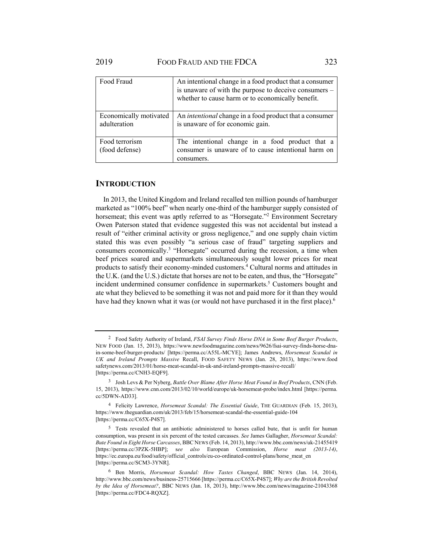| Food Fraud                             | An intentional change in a food product that a consumer<br>is unaware of with the purpose to deceive consumers -<br>whether to cause harm or to economically benefit. |
|----------------------------------------|-----------------------------------------------------------------------------------------------------------------------------------------------------------------------|
| Economically motivated<br>adulteration | An <i>intentional</i> change in a food product that a consumer<br>is unaware of for economic gain.                                                                    |
| Food terrorism<br>(food defense)       | The intentional change in a food product that a<br>consumer is unaware of to cause intentional harm on<br>consumers.                                                  |

#### **INTRODUCTION**

In 2013, the United Kingdom and Ireland recalled ten million pounds of hamburger marketed as "100% beef" when nearly one-third of the hamburger supply consisted of horsemeat; this event was aptly referred to as "Horsegate."2 Environment Secretary Owen Paterson stated that evidence suggested this was not accidental but instead a result of "either criminal activity or gross negligence," and one supply chain victim stated this was even possibly "a serious case of fraud" targeting suppliers and consumers economically.<sup>3</sup> "Horsegate" occurred during the recession, a time when beef prices soared and supermarkets simultaneously sought lower prices for meat products to satisfy their economy-minded customers.4 Cultural norms and attitudes in the U.K. (and the U.S.) dictate that horses are not to be eaten, and thus, the "Horsegate" incident undermined consumer confidence in supermarkets.<sup>5</sup> Customers bought and ate what they believed to be something it was not and paid more for it than they would have had they known what it was (or would not have purchased it in the first place).<sup>6</sup>

<sup>2</sup> Food Safety Authority of Ireland, *FSAI Survey Finds Horse DNA in Some Beef Burger Products*, NEW FOOD (Jan. 15, 2013), https://www.newfoodmagazine.com/news/9626/fsai-survey-finds-horse-dnain-some-beef-burger-products/ [https://perma.cc/A55L-MCYE]; James Andrews, *Horsemeat Scandal in UK and Ireland Prompts Massive* Recall, FOOD SAFETY NEWS (Jan. 28, 2013), https://www.food safetynews.com/2013/01/horse-meat-scandal-in-uk-and-ireland-prompts-massive-recall/ [https://perma.cc/CNH3-EQF9].

<sup>3</sup> Josh Levs & Per Nyberg, *Battle Over Blame After Horse Meat Found in Beef Products*, CNN (Feb. 15, 2013), https://www.cnn.com/2013/02/10/world/europe/uk-horsemeat-probe/index.html [https://perma. cc/5DWN-AD33].

<sup>4</sup> Felicity Lawrence, *Horsemeat Scandal: The Essential Guide*, THE GUARDIAN (Feb. 15, 2013), https://www.theguardian.com/uk/2013/feb/15/horsemeat-scandal-the-essential-guide-104 [https://perma.cc/C65X-P4S7].

<sup>5</sup> Tests revealed that an antibiotic administered to horses called bute, that is unfit for human consumption, was present in six percent of the tested carcasses. *See* James Gallagher, *Horsemeat Scandal: Bute Found in Eight Horse Carcasses*, BBC NEWS (Feb. 14, 2013), http://www.bbc.com/news/uk-21455419 [https://perma.cc/3PZK-5HBP]; s*ee also* European Commission, *Horse meat (2013-14)*, https://ec.europa.eu/food/safety/official\_controls/eu-co-ordinated-control-plans/horse\_meat\_en [https://perma.cc/SCM3-3YNR].

<sup>6</sup> Ben Morris, *Horsemeat Scandal: How Tastes Changed*, BBC NEWS (Jan. 14, 2014), http://www.bbc.com/news/business-25715666 [https://perma.cc/C65X-P4S7]; *Why are the British Revolted by the Idea of Horsemeat?*, BBC NEWS (Jan. 18, 2013), http://www.bbc.com/news/magazine-21043368 [https://perma.cc/FDC4-RQXZ].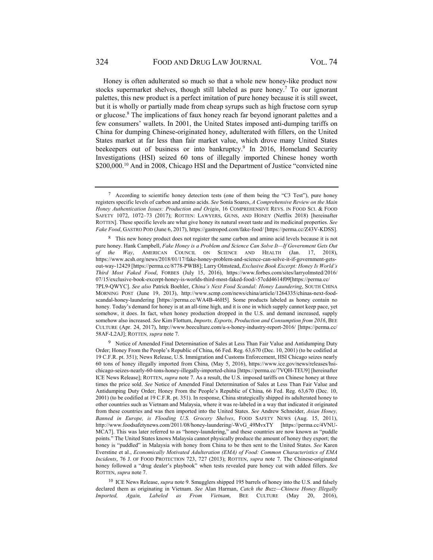Honey is often adulterated so much so that a whole new honey-like product now stocks supermarket shelves, though still labeled as pure honey.<sup>7</sup> To our ignorant palettes, this new product is a perfect imitation of pure honey because it is still sweet, but it is wholly or partially made from cheap syrups such as high fructose corn syrup or glucose.<sup>8</sup> The implications of faux honey reach far beyond ignorant palettes and a few consumers' wallets. In 2001, the United States imposed anti-dumping tariffs on China for dumping Chinese-originated honey, adulterated with fillers, on the United States market at far less than fair market value, which drove many United States beekeepers out of business or into bankruptcy.<sup>9</sup> In 2016, Homeland Security Investigations (HSI) seized 60 tons of illegally imported Chinese honey worth \$200,000.<sup>10</sup> And in 2008, Chicago HSI and the Department of Justice "convicted nine

9 Notice of Amended Final Determination of Sales at Less Than Fair Value and Antidumping Duty Order; Honey From the People's Republic of China, 66 Fed. Reg. 63,670 (Dec. 10, 2001) (to be codified at 19 C.F.R. pt. 351); News Release, U.S. Immigration and Customs Enforcement, HSI Chicago seizes nearly 60 tons of honey illegally imported from China, (May 5, 2016), https://www.ice.gov/news/releases/hsichicago-seizes-nearly-60-tons-honey-illegally-imported-china [https://perma.cc/7VQH-TEU9] [hereinafter ICE News Release]; ROTTEN, *supra* note 7. As a result, the U.S. imposed tariffs on Chinese honey at three times the price sold. *See* Notice of Amended Final Determination of Sales at Less Than Fair Value and Antidumping Duty Order; Honey From the People's Republic of China, 66 Fed. Reg. 63,670 (Dec. 10, 2001) (to be codified at 19 C.F.R. pt. 351). In response, China strategically shipped its adulterated honey to other countries such as Vietnam and Malaysia, where it was re-labeled in a way that indicated it originated from these countries and was then imported into the United States. *See* Andrew Schneider, *Asian Honey, Banned in Europe, is Flooding U.S. Grocery Shelves*, FOOD SAFETY NEWS (Aug. 15, 2011), http://www.foodsafetynews.com/2011/08/honey-laundering/-WvG\_49MvxTY [https://perma.cc/4VNU-MCA7]. This was later referred to as "honey-laundering," and these countries are now known as "puddle points." The United States knows Malaysia cannot physically produce the amount of honey they export; the honey is "puddled" in Malaysia with honey from China to be then sent to the United States. *See* Karen Everstine et al., *Economically Motivated Adulteration (EMA) of Food: Common Characteristics of EMA Incidents*, 76 J. OF FOOD PROTECTION 723, 727 (2013); ROTTEN, *supra* note 7. The Chinese-originated honey followed a "drug dealer's playbook" when tests revealed pure honey cut with added fillers. *See*  ROTTEN, *supra* note 7.

10 ICE News Release, *supra* note 9. Smugglers shipped 195 barrels of honey into the U.S. and falsely declared them as originating in Vietnam. *See* Alan Harman, *Catch the Buzz—Chinese Honey Illegally Imported, Again, Labeled as From Vietnam*, BEE CULTURE (May 20, 2016),

<sup>7</sup> According to scientific honey detection tests (one of them being the "C3 Test"), pure honey registers specific levels of carbon and amino acids. *See* Sonía Soares, *A Comprehensive Review on the Main Honey Authentication Issues: Production and Origin*, 16 COMPREHENSIVE REVS. IN FOOD SCI. & FOOD SAFETY 1072, 1072–73 (2017); ROTTEN: LAWYERS, GUNS, AND HONEY (Netflix 2018) [hereinafter ROTTEN]. These specific levels are what give honey its natural sweet taste and its medicinal properties. *See Fake Food*, GASTRO POD (June 6, 2017), https://gastropod.com/fake-food/ [https://perma.cc/Z43V-KDSS].

<sup>&</sup>lt;sup>8</sup> This new honey product does not register the same carbon and amino acid levels because it is not pure honey. Hank Campbell, *Fake Honey is a Problem and Science Can Solve It—If Government Gets Out of the Way*, AMERICAN COUNCIL ON SCIENCE AND HEALTH (Jan. 17, 2018), https://www.acsh.org/news/2018/01/17/fake-honey-problem-and-science-can-solve-it-if-government-getsout-way-12429 [https://perma.cc/8778-PWB8]; Larry Olmstead, *Exclusive Book Excerpt: Honey Is World's Third Most Faked Food*, FORBES (July 15, 2016), https://www.forbes.com/sites/larryolmsted/2016/ 07/15/exclusive-book-excerpt-honey-is-worlds-third-most-faked-food/-57cdd4614f09[https://perma.cc/ 7PL9-QWYC]. *See also* Patrick Boehler, *China's Next Food Scandal: Honey Laundering*, SOUTH CHINA MORNING POST (June 19, 2013), http://www.scmp.com/news/china/article/1264335/chinas-next-foodscandal-honey-laundering [https://perma.cc/WA4B-46H5]. Some products labeled as honey contain no honey. Today's demand for honey is at an all-time high, and it is one in which supply cannot keep pace, yet somehow, it does. In fact, when honey production dropped in the U.S. and demand increased, supply somehow also increased. *See* Kim Flottum, *Imports, Exports, Production and Consumption from 2016*, BEE CULTURE (Apr. 24, 2017), http://www.beeculture.com/u-s-honey-industry-report-2016/ [https://perma.cc/ 58AF-L2AJ]; ROTTEN*, supra* note 7.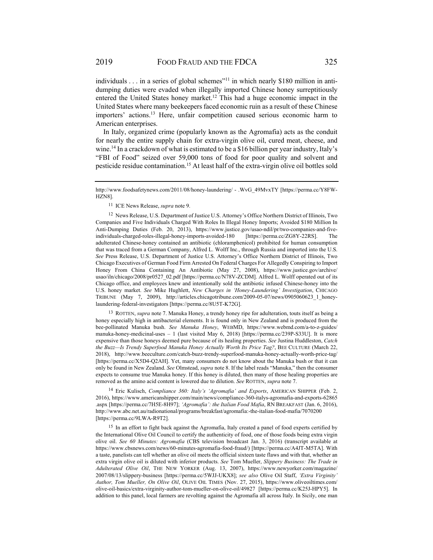individuals  $\dots$  in a series of global schemes"<sup>11</sup> in which nearly \$180 million in antidumping duties were evaded when illegally imported Chinese honey surreptitiously entered the United States honey market.12 This had a huge economic impact in the United States where many beekeepers faced economic ruin as a result of these Chinese importers' actions.13 Here, unfair competition caused serious economic harm to American enterprises.

In Italy, organized crime (popularly known as the Agromafia) acts as the conduit for nearly the entire supply chain for extra-virgin olive oil, cured meat, cheese, and wine.14 In a crackdown of what is estimated to be a \$16 billion per year industry, Italy's "FBI of Food" seized over 59,000 tons of food for poor quality and solvent and pesticide residue contamination.15 At least half of the extra-virgin olive oil bottles sold

11 ICE News Release, *supra* note 9.

12 News Release, U.S. Department of Justice U.S. Attorney's Office Northern District of Illinois, Two Companies and Five Individuals Charged With Roles In Illegal Honey Imports; Avoided \$180 Million In Anti-Dumping Duties (Feb. 20, 2013), https://www.justice.gov/usao-ndil/pr/two-companies-and-fiveindividuals-charged-roles-illegal-honey-imports-avoided-180 [https://perma.cc/ZG8Y-22RS]. The adulterated Chinese-honey contained an antibiotic (chloramphenicol) prohibited for human consumption that was traced from a German Company, Alfred L. Wolff Inc., through Russia and imported into the U.S. *See* Press Release, U.S. Department of Justice U.S. Attorney's Office Northern District of Illinois, Two Chicago Executives of German Food Firm Arrested On Federal Charges For Allegedly Conspiring to Import Honey From China Containing An Antibiotic (May 27, 2008), https://www.justice.gov/archive/ usao/iln/chicago/2008/pr0527\_02.pdf [https://perma.cc/N78V-ZCDM]. Alfred L. Wolff operated out of its Chicago office, and employees knew and intentionally sold the antibiotic infused Chinese-honey into the U.S. honey market. *See* Mike Hughlett, *New Charges in 'Honey-Laundering' Investigation*, CHICAGO TRIBUNE (May 7, 2009), http://articles.chicagotribune.com/2009-05-07/news/0905060623\_1\_honeylaundering-federal-investigators [https://perma.cc/8U5T-K72G].

13 ROTTEN, *supra* note 7. Manuka Honey, a trendy honey ripe for adulteration, touts itself as being a honey especially high in antibacterial elements. It is found only in New Zealand and is produced from the bee-pollinated Manuka bush. *See Manuka Honey*, WEBMD, https://www.webmd.com/a-to-z-guides/ manuka-honey-medicinal-uses – 1 (last visited May 6, 2018) [https://perma.cc/239P-S33U]. It is more expensive than those honeys deemed pure because of its healing properties. *See* Justina Huddleston, *Catch the Buzz—Is Trendy Superfood Manuka Honey Actually Worth Its Price Tag?*, BEE CULTURE (March 22, 2018), http://www.beeculture.com/catch-buzz-trendy-superfood-manuka-honey-actually-worth-price-tag/ [https://perma.cc/X5D4-Q2AH]. Yet, many consumers do not know about the Manuka bush or that it can only be found in New Zealand. *See* Olmstead, *supra* note 8. If the label reads "Manuka," then the consumer expects to consume true Manuka honey. If this honey is diluted, then many of those healing properties are removed as the amino acid content is lowered due to dilution. *See* ROTTEN, *supra* note 7.

14 Eric Kulisch, *Compliance 360: Italy's 'Agromafia' and Exports*, AMERICAN SHIPPER (Feb. 2, 2016), https://www.americanshipper.com/main/news/compliance-360-italys-agromafia-and-exports-62865 .aspx [https://perma.cc/7H5E-8H97]; *'Agromafia': the Italian Food Mafia*, RN BREAKFAST (Jan. 6, 2016), http://www.abc.net.au/radionational/programs/breakfast/agromafia:-the-italian-food-mafia/7070200 [https://perma.cc/9LWA-R9T2].

<sup>15</sup> In an effort to fight back against the Agromafia, Italy created a panel of food experts certified by the International Olive Oil Council to certify the authenticity of food, one of those foods being extra virgin olive oil. *See 60 Minutes: Agromafia* (CBS television broadcast Jan. 3, 2016) (transcript available at https://www.cbsnews.com/news/60-minutes-agromafia-food-fraud/) [https://perma.cc/A4JT-M5TA]. With a taste, panelists can tell whether an olive oil meets the official sixteen taste flaws and with that, whether an extra virgin olive oil is diluted with inferior products. *See* Tom Mueller, *Slippery Business: The Trade in Adulterated Olive Oil*, THE NEW YORKER (Aug. 13, 2007), https://www.newyorker.com/magazine/ 2007/08/13/slippery-business [https://perma.cc/5WJJ-UKX8]; *see also* Olive Oil Staff, *'Extra Virginity' Author, Tom Mueller, On Olive Oil*, OLIVE OIL TIMES (Nov. 27, 2015), https://www.oliveoiltimes.com/ olive-oil-basics/extra-virginity-author-tom-mueller-on-olive-oil/49827 [https://perma.cc/K25J-HPY5]. In addition to this panel, local farmers are revolting against the Agromafia all across Italy. In Sicily, one man

http://www.foodsafetynews.com/2011/08/honey-laundering/ - .WvG\_49MvxTY [https://perma.cc/Y8FW-HZN8].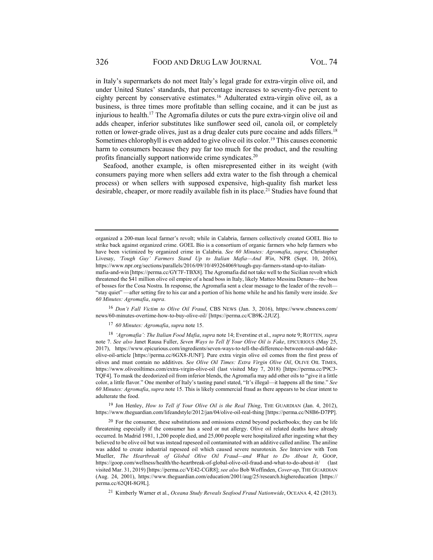in Italy's supermarkets do not meet Italy's legal grade for extra-virgin olive oil, and under United States' standards, that percentage increases to seventy-five percent to eighty percent by conservative estimates.16 Adulterated extra-virgin olive oil, as a business, is three times more profitable than selling cocaine, and it can be just as injurious to health.17 The Agromafia dilutes or cuts the pure extra-virgin olive oil and adds cheaper, inferior substitutes like sunflower seed oil, canola oil, or completely rotten or lower-grade olives, just as a drug dealer cuts pure cocaine and adds fillers.<sup>18</sup> Sometimes chlorophyll is even added to give olive oil its color.<sup>19</sup> This causes economic harm to consumers because they pay far too much for the product, and the resulting profits financially support nationwide crime syndicates.20

Seafood, another example, is often misrepresented either in its weight (with consumers paying more when sellers add extra water to the fish through a chemical process) or when sellers with supposed expensive, high-quality fish market less desirable, cheaper, or more readily available fish in its place. 21 Studies have found that

<sup>16</sup> *Don't Fall Victim to Olive Oil Fraud*, CBS NEWS (Jan. 3, 2016), https://www.cbsnews.com/ news/60-minutes-overtime-how-to-buy-olive-oil/ [https://perma.cc/CB9K-2JUZ].

<sup>17</sup> *60 Minutes: Agromafia*, *supra* note 15.

<sup>18</sup> *'Agromafia': The Italian Food Mafia*, *supra* note 14; Everstine et al., *supra* note 9; ROTTEN*, supra* note 7. *See also* Janet Rausa Fuller, *Seven Ways to Tell If Your Olive Oil is Fake*, EPICURIOUS (May 25, 2017), https://www.epicurious.com/ingredients/seven-ways-to-tell-the-difference-between-real-and-fakeolive-oil-article [https://perma.cc/6GX8-JUNF]. Pure extra virgin olive oil comes from the first press of olives and must contain no additives. *See Olive Oil Times: Extra Virgin Olive Oil*, OLIVE OIL TIMES, https://www.oliveoiltimes.com/extra-virgin-olive-oil (last visited May 7, 2018) [https://perma.cc/P9C3- TQF4]. To mask the deodorized oil from inferior blends, the Agromafia may add other oils to "give it a little color, a little flavor." One member of Italy's tasting panel stated, "It's illegal—it happens all the time." *See 60 Minutes: Agromafia*, *supra* note 15. This is likely commercial fraud as there appears to be clear intent to adulterate the food.

<sup>19</sup> Jon Henley, *How to Tell if Your Olive Oil is the Real Thing*, THE GUARDIAN (Jan. 4, 2012), https://www.theguardian.com/lifeandstyle/2012/jan/04/olive-oil-real-thing [https://perma.cc/N8B6-D7PP].

<sup>20</sup> For the consumer, these substitutions and omissions extend beyond pocketbooks; they can be life threatening especially if the consumer has a seed or nut allergy. Olive oil related deaths have already occurred. In Madrid 1981, 1,200 people died, and 25,000 people were hospitalized after ingesting what they believed to be olive oil but was instead rapeseed oil contaminated with an additive called aniline. The aniline was added to create industrial rapeseed oil which caused severe neurotoxin. *See* Interview with Tom Mueller, *The Heartbreak of Global Olive Oil Fraud—and What to Do About It*, GOOP, https://goop.com/wellness/health/the-heartbreak-of-global-olive-oil-fraud-and-what-to-do-about-it/ (last visited Mar. 31, 2019) [https://perma.cc/VE42-CGR8]; *see also* Bob Woffinden, *Cover-up*, THE GUARDIAN (Aug. 24, 2001), https://www.theguardian.com/education/2001/aug/25/research.highereducation [https:// perma.cc/62QH-8G9L].

21 Kimberly Warner et al., *Oceana Study Reveals Seafood Fraud Nationwide*, OCEANA 4, 42 (2013).

organized a 200-man local farmer's revolt; while in Calabria, farmers collectively created GOEL Bio to strike back against organized crime. GOEL Bio is a consortium of organic farmers who help farmers who have been victimized by organized crime in Calabria. *See 60 Minutes: Agromafia*, *supra*; Christopher Livesay, *'Tough Guy' Farmers Stand Up to Italian Mafia—And Win*, NPR (Sept. 10, 2016), https://www.npr.org/sections/parallels/2016/09/10/493264069/tough-guy-farmers-stand-up-to-italianmafia-and-win [https://perma.cc/GY7F-TBX8]. The Agromafia did not take well to the Sicilian revolt which threatened the \$41 million olive oil empire of a head boss in Italy, likely Matteo Messina Denaro—the boss of bosses for the Cosa Nostra. In response, the Agromafia sent a clear message to the leader of the revolt— "stay quiet" —after setting fire to his car and a portion of his home while he and his family were inside. *See 60 Minutes: Agromafia*, *supra*.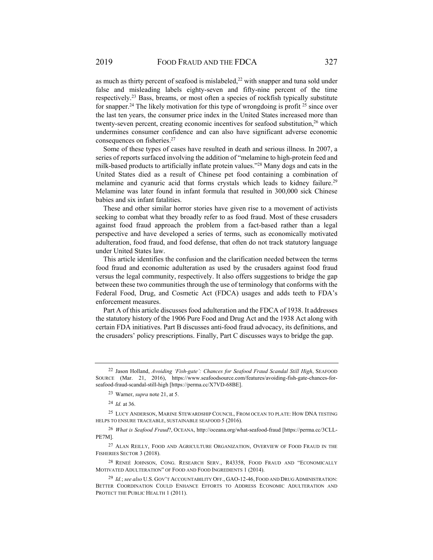as much as thirty percent of seafood is mislabeled, $^{22}$  with snapper and tuna sold under false and misleading labels eighty-seven and fifty-nine percent of the time respectively.23 Bass, breams, or most often a species of rockfish typically substitute for snapper.<sup>24</sup> The likely motivation for this type of wrongdoing is profit <sup>25</sup> since over the last ten years, the consumer price index in the United States increased more than twenty-seven percent, creating economic incentives for seafood substitution,<sup>26</sup> which undermines consumer confidence and can also have significant adverse economic consequences on fisheries.<sup>27</sup>

Some of these types of cases have resulted in death and serious illness. In 2007, a series of reports surfaced involving the addition of "melamine to high-protein feed and milk-based products to artificially inflate protein values."28 Many dogs and cats in the United States died as a result of Chinese pet food containing a combination of melamine and cyanuric acid that forms crystals which leads to kidney failure.<sup>29</sup> Melamine was later found in infant formula that resulted in 300,000 sick Chinese babies and six infant fatalities.

These and other similar horror stories have given rise to a movement of activists seeking to combat what they broadly refer to as food fraud. Most of these crusaders against food fraud approach the problem from a fact-based rather than a legal perspective and have developed a series of terms, such as economically motivated adulteration, food fraud, and food defense, that often do not track statutory language under United States law.

This article identifies the confusion and the clarification needed between the terms food fraud and economic adulteration as used by the crusaders against food fraud versus the legal community, respectively. It also offers suggestions to bridge the gap between these two communities through the use of terminology that conforms with the Federal Food, Drug, and Cosmetic Act (FDCA) usages and adds teeth to FDA's enforcement measures.

Part A of this article discusses food adulteration and the FDCA of 1938. It addresses the statutory history of the 1906 Pure Food and Drug Act and the 1938 Act along with certain FDA initiatives. Part B discusses anti-food fraud advocacy, its definitions, and the crusaders' policy prescriptions. Finally, Part C discusses ways to bridge the gap.

<sup>24</sup> *Id.* at 36.

<sup>22</sup> Jason Holland, *Avoiding 'Fish-gate': Chances for Seafood Fraud Scandal Still High*, SEAFOOD SOURCE (Mar. 21, 2016), https://www.seafoodsource.com/features/avoiding-fish-gate-chances-forseafood-fraud-scandal-still-high [https://perma.cc/X7VD-68BE].

<sup>23</sup> Warner, *supra* note 21, at 5.

<sup>25</sup> LUCY ANDERSON, MARINE STEWARDSHIP COUNCIL, FROM OCEAN TO PLATE: HOW DNA TESTING HELPS TO ENSURE TRACEABLE, SUSTAINABLE SEAFOOD 5 (2016).

<sup>26</sup> *What is Seafood Fraud*?, OCEANA, http://oceana.org/what-seafood-fraud [https://perma.cc/3CLL-PE7M].

<sup>&</sup>lt;sup>27</sup> ALAN REILLY, FOOD AND AGRICULTURE ORGANIZATION, OVERVIEW OF FOOD FRAUD IN THE FISHERIES SECTOR 3 (2018).

<sup>28</sup> RENEÉ JOHNSON, CONG. RESEARCH SERV., R43358, FOOD FRAUD AND "ECONOMICALLY MOTIVATED ADULTERATION" OF FOOD AND FOOD INGREDIENTS 1 (2014).

<sup>29</sup> *Id.*; *see also* U.S. GOV'T ACCOUNTABILITY OFF., GAO-12-46, FOOD AND DRUG ADMINISTRATION: BETTER COORDINATION COULD ENHANCE EFFORTS TO ADDRESS ECONOMIC ADULTERATION AND PROTECT THE PUBLIC HEALTH 1 (2011).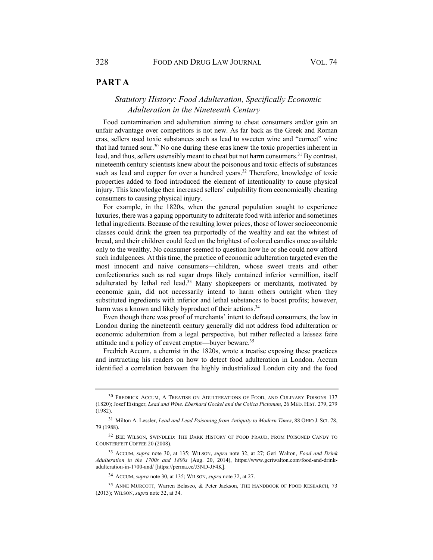# **PART A**

# *Statutory History: Food Adulteration, Specifically Economic Adulteration in the Nineteenth Century*

Food contamination and adulteration aiming to cheat consumers and/or gain an unfair advantage over competitors is not new. As far back as the Greek and Roman eras, sellers used toxic substances such as lead to sweeten wine and "correct" wine that had turned sour.30 No one during these eras knew the toxic properties inherent in lead, and thus, sellers ostensibly meant to cheat but not harm consumers.<sup>31</sup> By contrast, nineteenth century scientists knew about the poisonous and toxic effects of substances such as lead and copper for over a hundred years.<sup>32</sup> Therefore, knowledge of toxic properties added to food introduced the element of intentionality to cause physical injury. This knowledge then increased sellers' culpability from economically cheating consumers to causing physical injury.

For example, in the 1820s, when the general population sought to experience luxuries, there was a gaping opportunity to adulterate food with inferior and sometimes lethal ingredients. Because of the resulting lower prices, those of lower socioeconomic classes could drink the green tea purportedly of the wealthy and eat the whitest of bread, and their children could feed on the brightest of colored candies once available only to the wealthy. No consumer seemed to question how he or she could now afford such indulgences. At this time, the practice of economic adulteration targeted even the most innocent and naive consumers—children, whose sweet treats and other confectionaries such as red sugar drops likely contained inferior vermillion, itself adulterated by lethal red lead.33 Many shopkeepers or merchants, motivated by economic gain, did not necessarily intend to harm others outright when they substituted ingredients with inferior and lethal substances to boost profits; however, harm was a known and likely byproduct of their actions.<sup>34</sup>

Even though there was proof of merchants' intent to defraud consumers, the law in London during the nineteenth century generally did not address food adulteration or economic adulteration from a legal perspective, but rather reflected a laissez faire attitude and a policy of caveat emptor—buyer beware.35

Fredrich Accum, a chemist in the 1820s, wrote a treatise exposing these practices and instructing his readers on how to detect food adulteration in London. Accum identified a correlation between the highly industrialized London city and the food

<sup>30</sup> FREDRICK ACCUM, A TREATISE ON ADULTERATIONS OF FOOD, AND CULINARY POISONS 137 (1820); Josef Eisinger, *Lead and Wine. Eberhard Gockel and the Colica Pictonum*, 26 MED. HIST. 279, 279 (1982).

<sup>&</sup>lt;sup>31</sup> Milton A. Lessler, *Lead and Lead Poisoning from Antiquity to Modern Times*, 88 OHIO J. SCI. 78, 79 (1988).

<sup>32</sup> BEE WILSON, SWINDLED: THE DARK HISTORY OF FOOD FRAUD, FROM POISONED CANDY TO COUNTERFEIT COFFEE 20 (2008).

<sup>33</sup> ACCUM, *supra* note 30, at 135; WILSON, *supra* note 32, at 27; Geri Walton, *Food and Drink Adulteration in the 1700s and 1800s* (Aug. 20, 2014), https://www.geriwalton.com/food-and-drinkadulteration-in-1700-and/ [https://perma.cc/J3ND-JF4K].

<sup>34</sup> ACCUM, *supra* note 30, at 135; WILSON, *supra* note 32, at 27.

<sup>35</sup> ANNE MURCOTT, Warren Belasco, & Peter Jackson, THE HANDBOOK OF FOOD RESEARCH, 73 (2013); WILSON, *supra* note 32, at 34.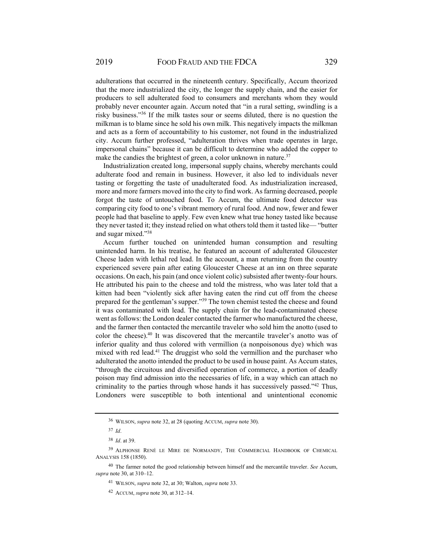adulterations that occurred in the nineteenth century. Specifically, Accum theorized that the more industrialized the city, the longer the supply chain, and the easier for producers to sell adulterated food to consumers and merchants whom they would probably never encounter again. Accum noted that "in a rural setting, swindling is a risky business."36 If the milk tastes sour or seems diluted, there is no question the milkman is to blame since he sold his own milk. This negatively impacts the milkman and acts as a form of accountability to his customer, not found in the industrialized city. Accum further professed, "adulteration thrives when trade operates in large, impersonal chains" because it can be difficult to determine who added the copper to make the candies the brightest of green, a color unknown in nature.<sup>37</sup>

Industrialization created long, impersonal supply chains, whereby merchants could adulterate food and remain in business. However, it also led to individuals never tasting or forgetting the taste of unadulterated food. As industrialization increased, more and more farmers moved into the city to find work. As farming decreased, people forgot the taste of untouched food. To Accum, the ultimate food detector was comparing city food to one's vibrant memory of rural food. And now, fewer and fewer people had that baseline to apply. Few even knew what true honey tasted like because they never tasted it; they instead relied on what others told them it tasted like— "butter and sugar mixed."38

Accum further touched on unintended human consumption and resulting unintended harm. In his treatise, he featured an account of adulterated Gloucester Cheese laden with lethal red lead. In the account, a man returning from the country experienced severe pain after eating Gloucester Cheese at an inn on three separate occasions. On each, his pain (and once violent colic) subsisted after twenty-four hours. He attributed his pain to the cheese and told the mistress, who was later told that a kitten had been "violently sick after having eaten the rind cut off from the cheese prepared for the gentleman's supper."39 The town chemist tested the cheese and found it was contaminated with lead. The supply chain for the lead-contaminated cheese went as follows: the London dealer contacted the farmer who manufactured the cheese, and the farmer then contacted the mercantile traveler who sold him the anotto (used to color the cheese).40 It was discovered that the mercantile traveler's anotto was of inferior quality and thus colored with vermillion (a nonpoisonous dye) which was mixed with red lead.<sup>41</sup> The druggist who sold the vermillion and the purchaser who adulterated the anotto intended the product to be used in house paint. As Accum states, "through the circuitous and diversified operation of commerce, a portion of deadly poison may find admission into the necessaries of life, in a way which can attach no criminality to the parties through whose hands it has successively passed." $42$  Thus, Londoners were susceptible to both intentional and unintentional economic

<sup>36</sup> WILSON, *supra* note 32, at 28 (quoting ACCUM, *supra* note 30).

<sup>37</sup> *Id*.

<sup>38</sup> *Id*. at 39.

<sup>39</sup> ALPHONSE RENÉ LE MIRE DE NORMANDY, THE COMMERCIAL HANDBOOK OF CHEMICAL ANALYSIS 158 (1850).

<sup>40</sup> The farmer noted the good relationship between himself and the mercantile traveler. *See* Accum, *supra* note 30, at 310–12.

<sup>41</sup> WILSON, *supra* note 32, at 30; Walton, *supra* note 33.

<sup>42</sup> ACCUM, *supra* note 30, at 312–14.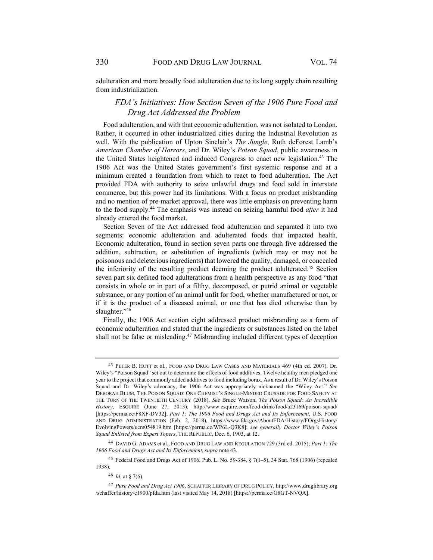adulteration and more broadly food adulteration due to its long supply chain resulting from industrialization.

# *FDA's Initiatives: How Section Seven of the 1906 Pure Food and Drug Act Addressed the Problem*

Food adulteration, and with that economic adulteration, was not isolated to London. Rather, it occurred in other industrialized cities during the Industrial Revolution as well. With the publication of Upton Sinclair's *The Jungle*, Ruth deForest Lamb's *American Chamber of Horrors*, and Dr. Wiley's *Poison Squad*, public awareness in the United States heightened and induced Congress to enact new legislation.<sup>43</sup> The 1906 Act was the United States government's first systemic response and at a minimum created a foundation from which to react to food adulteration. The Act provided FDA with authority to seize unlawful drugs and food sold in interstate commerce, but this power had its limitations. With a focus on product misbranding and no mention of pre-market approval, there was little emphasis on preventing harm to the food supply.44 The emphasis was instead on seizing harmful food *after* it had already entered the food market.

Section Seven of the Act addressed food adulteration and separated it into two segments: economic adulteration and adulterated foods that impacted health. Economic adulteration, found in section seven parts one through five addressed the addition, subtraction, or substitution of ingredients (which may or may not be poisonous and deleterious ingredients) that lowered the quality, damaged, or concealed the inferiority of the resulting product deeming the product adulterated.45 Section seven part six defined food adulterations from a health perspective as any food "that consists in whole or in part of a filthy, decomposed, or putrid animal or vegetable substance, or any portion of an animal unfit for food, whether manufactured or not, or if it is the product of a diseased animal, or one that has died otherwise than by slaughter."<sup>46</sup>

Finally, the 1906 Act section eight addressed product misbranding as a form of economic adulteration and stated that the ingredients or substances listed on the label shall not be false or misleading.<sup>47</sup> Misbranding included different types of deception

45 Federal Food and Drugs Act of 1906, Pub. L. No. 59-384, § 7(1–5), 34 Stat. 768 (1906) (repealed 1938).

<sup>46</sup> *Id.* at § 7(6).

<sup>43</sup> PETER B. HUTT et al., FOOD AND DRUG LAW CASES AND MATERIALS 469 (4th ed. 2007). Dr. Wiley's "Poison Squad" set out to determine the effects of food additives. Twelve healthy men pledged one year to the project that commonly added additives to food including borax. As a result of Dr. Wiley's Poison Squad and Dr. Wiley's advocacy, the 1906 Act was appropriately nicknamed the "Wiley Act." *See*  DEBORAH BLUM, THE POISON SQUAD: ONE CHEMIST'S SINGLE-MINDED CRUSADE FOR FOOD SAFETY AT THE TURN OF THE TWENTIETH CENTURY (2018). *See* Bruce Watson, *The Poison Squad: An Incredible History*, ESQUIRE (June 27, 2013), http://www.esquire.com/food-drink/food/a23169/poison-squad/ [https://perma.cc/F8XF-DV32]; *Part 1: The 1906 Food and Drugs Act and Its Enforcement*, U.S. FOOD AND DRUG ADMINISTRATION (Feb. 2, 2018), https://www.fda.gov/AboutFDA/History/FOrgsHistory/ EvolvingPowers/ucm054819.htm [https://perma.cc/WP6L-Q3K8]; *see generally Doctor Wiley's Poison Squad Enlisted from Expert Topers*, THE REPUBLIC, Dec. 6, 1903, at 12.

<sup>44</sup> DAVID G. ADAMS et al., FOOD AND DRUG LAW AND REGULATION 729 (3rd ed. 2015); *Part 1: The 1906 Food and Drugs Act and Its Enforcement*, *supra* note 43.

<sup>47</sup> *Pure Food and Drug Act 1906*, SCHAFFER LIBRARY OF DRUG POLICY, http://www.druglibrary.org /schaffer/history/e1900/pfda.htm (last visited May 14, 2018) [https://perma.cc/G8GT-NVQA].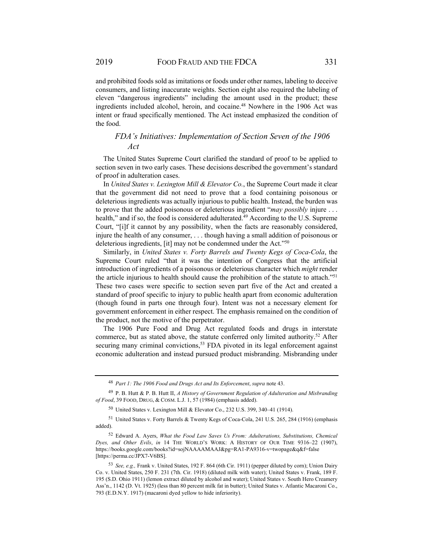and prohibited foods sold as imitations or foods under other names, labeling to deceive consumers, and listing inaccurate weights. Section eight also required the labeling of eleven "dangerous ingredients" including the amount used in the product; these ingredients included alcohol, heroin, and cocaine.48 Nowhere in the 1906 Act was intent or fraud specifically mentioned. The Act instead emphasized the condition of the food.

# *FDA's Initiatives: Implementation of Section Seven of the 1906 Act*

The United States Supreme Court clarified the standard of proof to be applied to section seven in two early cases. These decisions described the government's standard of proof in adulteration cases.

In *United States v. Lexington Mill & Elevator Co.*, the Supreme Court made it clear that the government did not need to prove that a food containing poisonous or deleterious ingredients was actually injurious to public health. Instead, the burden was to prove that the added poisonous or deleterious ingredient "*may possibly* injure . . . health," and if so, the food is considered adulterated.<sup>49</sup> According to the U.S. Supreme Court, "[i]f it cannot by any possibility, when the facts are reasonably considered, injure the health of any consumer, . . . though having a small addition of poisonous or deleterious ingredients, [it] may not be condemned under the Act."50

Similarly, in *United States v. Forty Barrels and Twenty Kegs of Coca-Cola*, the Supreme Court ruled "that it was the intention of Congress that the artificial introduction of ingredients of a poisonous or deleterious character which *might* render the article injurious to health should cause the prohibition of the statute to attach."<sup>51</sup> These two cases were specific to section seven part five of the Act and created a standard of proof specific to injury to public health apart from economic adulteration (though found in parts one through four). Intent was not a necessary element for government enforcement in either respect. The emphasis remained on the condition of the product, not the motive of the perpetrator.

The 1906 Pure Food and Drug Act regulated foods and drugs in interstate commerce, but as stated above, the statute conferred only limited authority.<sup>52</sup> After securing many criminal convictions,<sup>53</sup> FDA pivoted in its legal enforcement against economic adulteration and instead pursued product misbranding. Misbranding under

<sup>48</sup> *Part 1: The 1906 Food and Drugs Act and Its Enforcement*, *supra* note 43.

<sup>49</sup> P. B. Hutt & P. B. Hutt II, *A History of Government Regulation of Adulteration and Misbranding of Food*, 39 FOOD, DRUG, & COSM. L.J. 1, 57 (1984) (emphasis added).

<sup>50</sup> United States v. Lexington Mill & Elevator Co., 232 U.S. 399, 340–41 (1914).

<sup>51</sup> United States v. Forty Barrels & Twenty Kegs of Coca-Cola, 241 U.S. 265, 284 (1916) (emphasis added).

<sup>52</sup> Edward A. Ayers, *What the Food Law Saves Us From: Adulterations, Substitutions, Chemical Dyes, and Other Evils*, *in* 14 THE WORLD'S WORK: A HISTORY OF OUR TIME 9316–22 (1907), https://books.google.com/books?id=sojNAAAAMAAJ&pg=RA1-PA9316-v=twopage&q&f=false [https://perma.cc/JPX7-V6BS].

<sup>53</sup> *See, e.g.,* Frank v. United States, 192 F. 864 (6th Cir. 1911) (pepper diluted by corn); Union Dairy Co. v. United States, 250 F. 231 (7th. Cir. 1918) (diluted milk with water); United States v. Frank, 189 F. 195 (S.D. Ohio 1911) (lemon extract diluted by alcohol and water); United States v. South Hero Creamery Ass'n., 1142 (D. Vt. 1925) (less than 80 percent milk fat in butter); United States v. Atlantic Macaroni Co., 793 (E.D.N.Y. 1917) (macaroni dyed yellow to hide inferiority).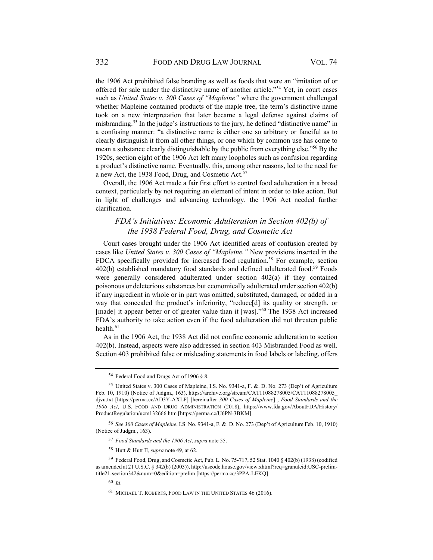the 1906 Act prohibited false branding as well as foods that were an "imitation of or offered for sale under the distinctive name of another article."54 Yet, in court cases such as *United States v. 300 Cases of "Mapleine"* where the government challenged whether Mapleine contained products of the maple tree, the term's distinctive name took on a new interpretation that later became a legal defense against claims of misbranding.55 In the judge's instructions to the jury, he defined "distinctive name" in a confusing manner: "a distinctive name is either one so arbitrary or fanciful as to clearly distinguish it from all other things, or one which by common use has come to mean a substance clearly distinguishable by the public from everything else."56 By the 1920s, section eight of the 1906 Act left many loopholes such as confusion regarding a product's distinctive name. Eventually, this, among other reasons, led to the need for a new Act, the 1938 Food, Drug, and Cosmetic Act.<sup>57</sup>

Overall, the 1906 Act made a fair first effort to control food adulteration in a broad context, particularly by not requiring an element of intent in order to take action. But in light of challenges and advancing technology, the 1906 Act needed further clarification.

# *FDA's Initiatives: Economic Adulteration in Section 402(b) of the 1938 Federal Food, Drug, and Cosmetic Act*

Court cases brought under the 1906 Act identified areas of confusion created by cases like *United States v. 300 Cases of "Mapleine."* New provisions inserted in the FDCA specifically provided for increased food regulation.<sup>58</sup> For example, section 402(b) established mandatory food standards and defined adulterated food.<sup>59</sup> Foods were generally considered adulterated under section 402(a) if they contained poisonous or deleterious substances but economically adulterated under section 402(b) if any ingredient in whole or in part was omitted, substituted, damaged, or added in a way that concealed the product's inferiority, "reduce[d] its quality or strength, or [made] it appear better or of greater value than it [was]."<sup>60</sup> The 1938 Act increased FDA's authority to take action even if the food adulteration did not threaten public health.<sup>61</sup>

As in the 1906 Act, the 1938 Act did not confine economic adulteration to section 402(b). Instead, aspects were also addressed in section 403 Misbranded Food as well. Section 403 prohibited false or misleading statements in food labels or labeling, offers

<sup>54</sup> Federal Food and Drugs Act of 1906 § 8.

<sup>55</sup> United States v. 300 Cases of Mapleine, I.S. No. 9341-a, F. &. D. No. 273 (Dep't of Agriculture Feb. 10, 1910) (Notice of Judgm., 163), https://archive.org/stream/CAT11088278005/CAT11088278005\_ djvu.txt [https://perma.cc/AD3Y-AXLF] [hereinafter *300 Cases of Mapleine*] ; *Food Standards and the 1906 Act*, U.S. FOOD AND DRUG ADMINISTRATION (2018), https://www.fda.gov/AboutFDA/History/ ProductRegulation/ucm132666.htm [https://perma.cc/U6PN-3BKM].

<sup>56</sup> *See 300 Cases of Mapleine*, I.S. No. 9341-a, F. &. D. No. 273 (Dep't of Agriculture Feb. 10, 1910) (Notice of Judgm., 163).

<sup>57</sup> *Food Standards and the 1906 Act*, *supra* note 55.

<sup>58</sup> Hutt & Hutt II, *supra* note 49, at 62.

<sup>59</sup> Federal Food, Drug, and Cosmetic Act, Pub. L. No. 75-717, 52 Stat. 1040 § 402(b) (1938) (codified as amended at 21 U.S.C. § 342(b) (2003)), http://uscode.house.gov/view.xhtml?req=granuleid:USC-prelimtitle21-section342&num=0&edition=prelim [https://perma.cc/3PPA-LEKQ].

<sup>60</sup> *Id*.

<sup>61</sup> MICHAEL T. ROBERTS, FOOD LAW IN THE UNITED STATES 46 (2016).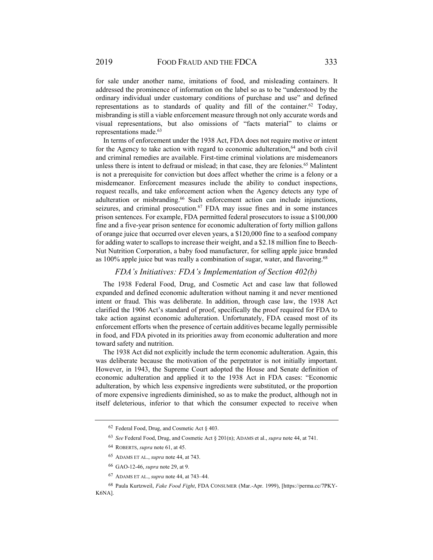for sale under another name, imitations of food, and misleading containers. It addressed the prominence of information on the label so as to be "understood by the ordinary individual under customary conditions of purchase and use" and defined representations as to standards of quality and fill of the container.<sup>62</sup> Today, misbranding is still a viable enforcement measure through not only accurate words and visual representations, but also omissions of "facts material" to claims or representations made.63

In terms of enforcement under the 1938 Act, FDA does not require motive or intent for the Agency to take action with regard to economic adulteration, $64$  and both civil and criminal remedies are available. First-time criminal violations are misdemeanors unless there is intent to defraud or mislead; in that case, they are felonies.<sup>65</sup> Malintent is not a prerequisite for conviction but does affect whether the crime is a felony or a misdemeanor. Enforcement measures include the ability to conduct inspections, request recalls, and take enforcement action when the Agency detects any type of adulteration or misbranding.<sup>66</sup> Such enforcement action can include injunctions, seizures, and criminal prosecution.<sup>67</sup> FDA may issue fines and in some instances prison sentences. For example, FDA permitted federal prosecutors to issue a \$100,000 fine and a five-year prison sentence for economic adulteration of forty million gallons of orange juice that occurred over eleven years, a \$120,000 fine to a seafood company for adding water to scallops to increase their weight, and a \$2.18 million fine to Beech-Nut Nutrition Corporation, a baby food manufacturer, for selling apple juice branded as 100% apple juice but was really a combination of sugar, water, and flavoring.68

#### *FDA's Initiatives: FDA's Implementation of Section 402(b)*

The 1938 Federal Food, Drug, and Cosmetic Act and case law that followed expanded and defined economic adulteration without naming it and never mentioned intent or fraud. This was deliberate. In addition, through case law, the 1938 Act clarified the 1906 Act's standard of proof, specifically the proof required for FDA to take action against economic adulteration. Unfortunately, FDA ceased most of its enforcement efforts when the presence of certain additives became legally permissible in food, and FDA pivoted in its priorities away from economic adulteration and more toward safety and nutrition.

The 1938 Act did not explicitly include the term economic adulteration. Again, this was deliberate because the motivation of the perpetrator is not initially important. However, in 1943, the Supreme Court adopted the House and Senate definition of economic adulteration and applied it to the 1938 Act in FDA cases: "Economic adulteration, by which less expensive ingredients were substituted, or the proportion of more expensive ingredients diminished, so as to make the product, although not in itself deleterious, inferior to that which the consumer expected to receive when

<sup>62</sup> Federal Food, Drug, and Cosmetic Act § 403.

<sup>63</sup> *See* Federal Food, Drug, and Cosmetic Act § 201(n); ADAMS et al., *supra* note 44, at 741.

<sup>64</sup> ROBERTS, *supra* note 61, at 45.

<sup>65</sup> ADAMS ET AL., *supra* note 44, at 743.

<sup>66</sup> GAO-12-46, *supra* note 29, at 9.

<sup>67</sup> ADAMS ET AL., *supra* note 44, at 743–44.

<sup>68</sup> Paula Kurtzweil, *Fake Food Fight*, FDA CONSUMER (Mar.-Apr. 1999), [https://perma.cc/7PKY-K6NA].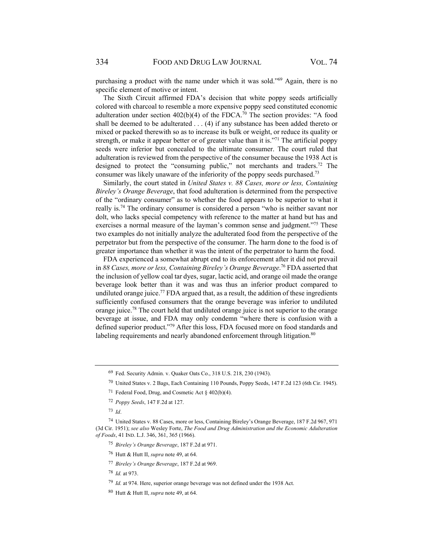purchasing a product with the name under which it was sold."69 Again, there is no specific element of motive or intent.

The Sixth Circuit affirmed FDA's decision that white poppy seeds artificially colored with charcoal to resemble a more expensive poppy seed constituted economic adulteration under section  $402(b)(4)$  of the FDCA.<sup>70</sup> The section provides: "A food shall be deemed to be adulterated . . . (4) if any substance has been added thereto or mixed or packed therewith so as to increase its bulk or weight, or reduce its quality or strength, or make it appear better or of greater value than it is."<sup>71</sup> The artificial poppy seeds were inferior but concealed to the ultimate consumer. The court ruled that adulteration is reviewed from the perspective of the consumer because the 1938 Act is designed to protect the "consuming public," not merchants and traders.<sup>72</sup> The consumer was likely unaware of the inferiority of the poppy seeds purchased.73

Similarly, the court stated in *United States v. 88 Cases, more or less, Containing Bireley's Orange Beverage*, that food adulteration is determined from the perspective of the "ordinary consumer" as to whether the food appears to be superior to what it really is.74 The ordinary consumer is considered a person "who is neither savant nor dolt, who lacks special competency with reference to the matter at hand but has and exercises a normal measure of the layman's common sense and judgment."<sup>75</sup> These two examples do not initially analyze the adulterated food from the perspective of the perpetrator but from the perspective of the consumer. The harm done to the food is of greater importance than whether it was the intent of the perpetrator to harm the food.

FDA experienced a somewhat abrupt end to its enforcement after it did not prevail in *88 Cases, more or less, Containing Bireley's Orange Beverage*. 76 FDA asserted that the inclusion of yellow coal tar dyes, sugar, lactic acid, and orange oil made the orange beverage look better than it was and was thus an inferior product compared to undiluted orange juice.<sup>77</sup> FDA argued that, as a result, the addition of these ingredients sufficiently confused consumers that the orange beverage was inferior to undiluted orange juice.<sup>78</sup> The court held that undiluted orange juice is not superior to the orange beverage at issue, and FDA may only condemn "where there is confusion with a defined superior product."79 After this loss, FDA focused more on food standards and labeling requirements and nearly abandoned enforcement through litigation.<sup>80</sup>

- 76 Hutt & Hutt II, *supra* note 49, at 64.
- <sup>77</sup> *Bireley's Orange Beverage*, 187 F.2d at 969.
- <sup>78</sup> *Id.* at 973.

<sup>69</sup> Fed. Security Admin. v. Quaker Oats Co., 318 U.S. 218, 230 (1943).

<sup>70</sup> United States v. 2 Bags, Each Containing 110 Pounds, Poppy Seeds, 147 F.2d 123 (6th Cir. 1945).

<sup>71</sup> Federal Food, Drug, and Cosmetic Act § 402(b)(4).

<sup>72</sup> *Poppy Seeds*, 147 F.2d at 127.

<sup>73</sup> *Id*.

<sup>74</sup> United States v. 88 Cases, more or less, Containing Bireley's Orange Beverage, 187 F.2d 967, 971 (3d Cir. 1951); *see also* Wesley Forte, *The Food and Drug Administration and the Economic Adulteration of Foods*, 41 IND. L.J. 346, 361, 365 (1966).

<sup>75</sup> *Bireley's Orange Beverage*, 187 F.2d at 971.

<sup>79</sup> *Id.* at 974. Here, superior orange beverage was not defined under the 1938 Act.

<sup>80</sup> Hutt & Hutt II, *supra* note 49, at 64.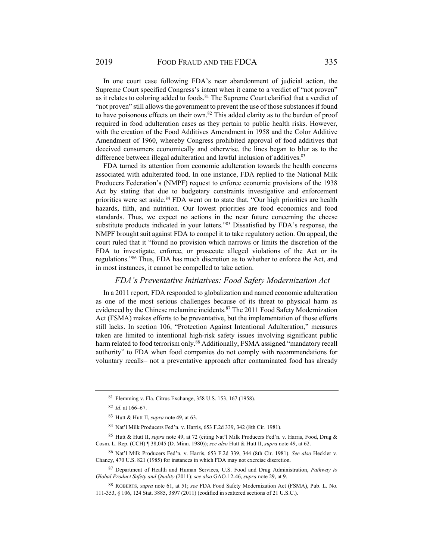In one court case following FDA's near abandonment of judicial action, the Supreme Court specified Congress's intent when it came to a verdict of "not proven" as it relates to coloring added to foods.<sup>81</sup> The Supreme Court clarified that a verdict of "not proven" still allows the government to prevent the use of those substances if found to have poisonous effects on their own.<sup>82</sup> This added clarity as to the burden of proof required in food adulteration cases as they pertain to public health risks. However, with the creation of the Food Additives Amendment in 1958 and the Color Additive Amendment of 1960, whereby Congress prohibited approval of food additives that deceived consumers economically and otherwise, the lines began to blur as to the difference between illegal adulteration and lawful inclusion of additives.<sup>83</sup>

FDA turned its attention from economic adulteration towards the health concerns associated with adulterated food. In one instance, FDA replied to the National Milk Producers Federation's (NMPF) request to enforce economic provisions of the 1938 Act by stating that due to budgetary constraints investigative and enforcement priorities were set aside.<sup>84</sup> FDA went on to state that, "Our high priorities are health hazards, filth, and nutrition. Our lowest priorities are food economics and food standards. Thus, we expect no actions in the near future concerning the cheese substitute products indicated in your letters."85 Dissatisfied by FDA's response, the NMPF brought suit against FDA to compel it to take regulatory action. On appeal, the court ruled that it "found no provision which narrows or limits the discretion of the FDA to investigate, enforce, or prosecute alleged violations of the Act or its regulations."86 Thus, FDA has much discretion as to whether to enforce the Act, and in most instances, it cannot be compelled to take action.

#### *FDA's Preventative Initiatives: Food Safety Modernization Act*

In a 2011 report, FDA responded to globalization and named economic adulteration as one of the most serious challenges because of its threat to physical harm as evidenced by the Chinese melamine incidents.<sup>87</sup> The 2011 Food Safety Modernization Act (FSMA) makes efforts to be preventative, but the implementation of those efforts still lacks. In section 106, "Protection Against Intentional Adulteration," measures taken are limited to intentional high-risk safety issues involving significant public harm related to food terrorism only.<sup>88</sup> Additionally, FSMA assigned "mandatory recall authority" to FDA when food companies do not comply with recommendations for voluntary recalls– not a preventative approach after contaminated food has already

<sup>81</sup> Flemming v. Fla. Citrus Exchange, 358 U.S. 153, 167 (1958).

<sup>82</sup> *Id*. at 166–67.

<sup>83</sup> Hutt & Hutt II, *supra* note 49, at 63.

<sup>84</sup> Nat'l Milk Producers Fed'n. v. Harris, 653 F.2d 339, 342 (8th Cir. 1981).

<sup>85</sup> Hutt & Hutt II, *supra* note 49, at 72 (citing Nat'l Milk Producers Fed'n. v. Harris, Food, Drug & Cosm. L. Rep. (CCH) ¶ 38,045 (D. Minn. 1980)); *see also* Hutt & Hutt II, *supra* note 49, at 62.

<sup>86</sup> Nat'l Milk Producers Fed'n*.* v. Harris, 653 F.2d 339, 344 (8th Cir. 1981). *See also* Heckler v. Chaney, 470 U.S. 821 (1985) for instances in which FDA may not exercise discretion.

<sup>87</sup> Department of Health and Human Services, U.S. Food and Drug Administration, *Pathway to Global Product Safety and Quality* (2011); *see also* GAO-12-46, *supra* note 29, at 9.

<sup>88</sup> ROBERTS, *supra* note 61, at 51; *see* FDA Food Safety Modernization Act (FSMA), Pub. L. No. 111-353, § 106, 124 Stat. 3885, 3897 (2011) (codified in scattered sections of 21 U.S.C.).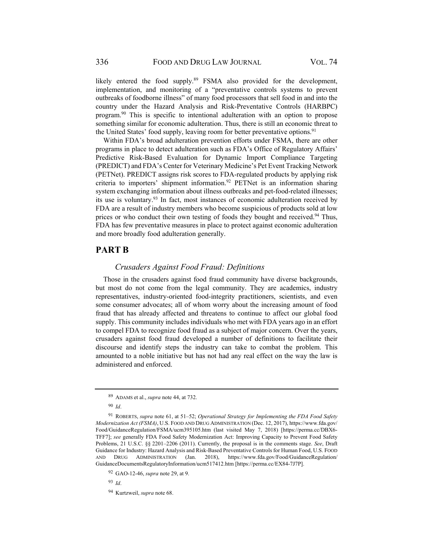likely entered the food supply.<sup>89</sup> FSMA also provided for the development, implementation, and monitoring of a "preventative controls systems to prevent outbreaks of foodborne illness" of many food processors that sell food in and into the country under the Hazard Analysis and Risk-Preventative Controls (HARBPC) program.<sup>90</sup> This is specific to intentional adulteration with an option to propose something similar for economic adulteration. Thus, there is still an economic threat to the United States' food supply, leaving room for better preventative options.<sup>91</sup>

Within FDA's broad adulteration prevention efforts under FSMA, there are other programs in place to detect adulteration such as FDA's Office of Regulatory Affairs' Predictive Risk-Based Evaluation for Dynamic Import Compliance Targeting (PREDICT) and FDA's Center for Veterinary Medicine's Pet Event Tracking Network (PETNet). PREDICT assigns risk scores to FDA-regulated products by applying risk criteria to importers' shipment information.<sup>92</sup> PETNet is an information sharing system exchanging information about illness outbreaks and pet-food-related illnesses; its use is voluntary.93 In fact, most instances of economic adulteration received by FDA are a result of industry members who become suspicious of products sold at low prices or who conduct their own testing of foods they bought and received.94 Thus, FDA has few preventative measures in place to protect against economic adulteration and more broadly food adulteration generally.

# **PART B**

#### *Crusaders Against Food Fraud: Definitions*

Those in the crusaders against food fraud community have diverse backgrounds, but most do not come from the legal community. They are academics, industry representatives, industry-oriented food-integrity practitioners, scientists, and even some consumer advocates; all of whom worry about the increasing amount of food fraud that has already affected and threatens to continue to affect our global food supply. This community includes individuals who met with FDA years ago in an effort to compel FDA to recognize food fraud as a subject of major concern. Over the years, crusaders against food fraud developed a number of definitions to facilitate their discourse and identify steps the industry can take to combat the problem. This amounted to a noble initiative but has not had any real effect on the way the law is administered and enforced.

<sup>93</sup> *Id*.

94 Kurtzweil, *supra* note 68.

<sup>89</sup> ADAMS et al., *supra* note 44, at 732.

<sup>90</sup> *Id*.

<sup>91</sup> ROBERTS, *supra* note 61, at 51–52; *Operational Strategy for Implementing the FDA Food Safety Modernization Act (FSMA)*, U.S. FOOD AND DRUG ADMINISTRATION (Dec. 12, 2017), https://www.fda.gov/ Food/GuidanceRegulation/FSMA/ucm395105.htm (last visited May 7, 2018) [https://perma.cc/DBX6- TFF7]; *see* generally FDA Food Safety Modernization Act: Improving Capacity to Prevent Food Safety Problems, 21 U.S.C. §§ 2201–2206 (2011). Currently, the proposal is in the comments stage. *See*, Draft Guidance for Industry: Hazard Analysis and Risk-Based Preventative Controls for Human Food, U.S. FOOD AND DRUG ADMINISTRATION (Jan. 2018), https://www.fda.gov/Food/GuidanceRegulation/ GuidanceDocumentsRegulatoryInformation/ucm517412.htm [https://perma.cc/EX84-7J7P].

<sup>92</sup> GAO-12-46, *supra* note 29, at 9.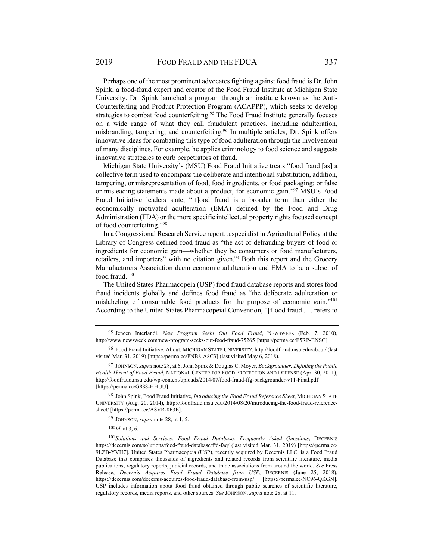Perhaps one of the most prominent advocates fighting against food fraud is Dr. John Spink, a food-fraud expert and creator of the Food Fraud Institute at Michigan State University. Dr. Spink launched a program through an institute known as the Anti-Counterfeiting and Product Protection Program (ACAPPP), which seeks to develop strategies to combat food counterfeiting.<sup>95</sup> The Food Fraud Institute generally focuses on a wide range of what they call fraudulent practices, including adulteration, misbranding, tampering, and counterfeiting.<sup>96</sup> In multiple articles, Dr. Spink offers innovative ideas for combatting this type of food adulteration through the involvement of many disciplines. For example, he applies criminology to food science and suggests innovative strategies to curb perpetrators of fraud.

Michigan State University's (MSU) Food Fraud Initiative treats "food fraud [as] a collective term used to encompass the deliberate and intentional substitution, addition, tampering, or misrepresentation of food, food ingredients, or food packaging; or false or misleading statements made about a product, for economic gain."97 MSU's Food Fraud Initiative leaders state, "[f]ood fraud is a broader term than either the economically motivated adulteration (EMA) defined by the Food and Drug Administration (FDA) or the more specific intellectual property rights focused concept of food counterfeiting."98

In a Congressional Research Service report, a specialist in Agricultural Policy at the Library of Congress defined food fraud as "the act of defrauding buyers of food or ingredients for economic gain—whether they be consumers or food manufacturers, retailers, and importers" with no citation given.<sup>99</sup> Both this report and the Grocery Manufacturers Association deem economic adulteration and EMA to be a subset of food fraud.100

The United States Pharmacopeia (USP) food fraud database reports and stores food fraud incidents globally and defines food fraud as "the deliberate adulteration or mislabeling of consumable food products for the purpose of economic gain."101 According to the United States Pharmacopeial Convention, "[f]ood fraud . . . refers to

98 John Spink, Food Fraud Initiative, *Introducing the Food Fraud Reference Sheet*, MICHIGAN STATE UNIVERSITY (Aug. 20, 2014), http://foodfraud.msu.edu/2014/08/20/introducing-the-food-fraud-referencesheet/ [https://perma.cc/A8VR-8F3E].

99 JOHNSON, *supra* note 28, at 1, 5.

100*Id.* at 3, 6.

<sup>101</sup> *Solutions and Services: Food Fraud Database: Frequently Asked Questions*, DECERNIS https://decernis.com/solutions/food-fraud-database/ffd-faq/ (last visited Mar. 31, 2019) [https://perma.cc/ 9LZB-YVH7]. United States Pharmacopeia (USP), recently acquired by Decernis LLC, is a Food Fraud Database that comprises thousands of ingredients and related records from scientific literature, media publications, regulatory reports, judicial records, and trade associations from around the world. *See* Press Release, *Decernis Acquires Food Fraud Database from USP*, DECERNIS (June 25, 2018), https://decernis.com/decernis-acquires-food-fraud-database-from-usp/ [https://perma.cc/NC96-QKGN]. USP includes information about food fraud obtained through public searches of scientific literature, regulatory records, media reports, and other sources. *See* JOHNSON, *supra* note 28, at 11.

<sup>95</sup> Jeneen Interlandi, *New Program Seeks Out Food Fraud*, NEWSWEEK (Feb. 7, 2010), http://www.newsweek.com/new-program-seeks-out-food-fraud-75265 [https://perma.cc/E5RP-ENSC].

<sup>96</sup> Food Fraud Initiative: About, MICHIGAN STATE UNIVERSITY, http://foodfraud.msu.edu/about/ (last visited Mar. 31, 2019) [https://perma.cc/PNB8-A8C3] (last visited May 6, 2018).

<sup>97</sup> JOHNSON, *supra* note 28, at 6; John Spink & Douglas C. Moyer, *Backgrounder: Defining the Public Health Threat of Food Fraud*, NATIONAL CENTER FOR FOOD PROTECTION AND DEFENSE (Apr. 30, 2011), http://foodfraud.msu.edu/wp-content/uploads/2014/07/food-fraud-ffg-backgrounder-v11-Final.pdf [https://perma.cc/G888-HHUU].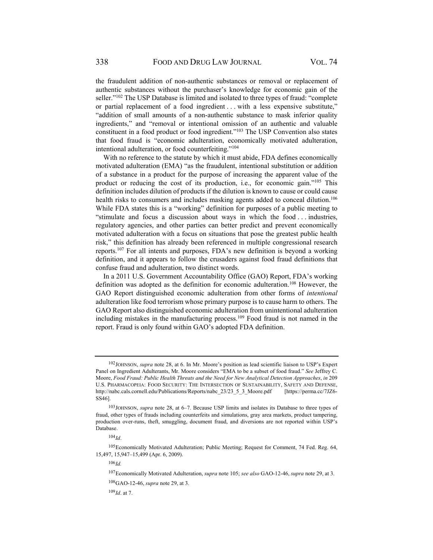the fraudulent addition of non-authentic substances or removal or replacement of authentic substances without the purchaser's knowledge for economic gain of the seller."<sup>102</sup> The USP Database is limited and isolated to three types of fraud: "complete or partial replacement of a food ingredient . . . with a less expensive substitute," "addition of small amounts of a non-authentic substance to mask inferior quality ingredients," and "removal or intentional omission of an authentic and valuable constituent in a food product or food ingredient."103 The USP Convention also states that food fraud is "economic adulteration, economically motivated adulteration, intentional adulteration, or food counterfeiting."<sup>104</sup>

With no reference to the statute by which it must abide, FDA defines economically motivated adulteration (EMA) "as the fraudulent, intentional substitution or addition of a substance in a product for the purpose of increasing the apparent value of the product or reducing the cost of its production, i.e., for economic gain."105 This definition includes dilution of products if the dilution is known to cause or could cause health risks to consumers and includes masking agents added to conceal dilution.<sup>106</sup> While FDA states this is a "working" definition for purposes of a public meeting to "stimulate and focus a discussion about ways in which the food . . . industries, regulatory agencies, and other parties can better predict and prevent economically motivated adulteration with a focus on situations that pose the greatest public health risk," this definition has already been referenced in multiple congressional research reports.107 For all intents and purposes, FDA's new definition is beyond a working definition, and it appears to follow the crusaders against food fraud definitions that confuse fraud and adulteration, two distinct words.

In a 2011 U.S. Government Accountability Office (GAO) Report, FDA's working definition was adopted as the definition for economic adulteration.<sup>108</sup> However, the GAO Report distinguished economic adulteration from other forms of *intentional* adulteration like food terrorism whose primary purpose is to cause harm to others. The GAO Report also distinguished economic adulteration from unintentional adulteration including mistakes in the manufacturing process.109 Food fraud is not named in the report. Fraud is only found within GAO's adopted FDA definition.

<sup>102</sup> JOHNSON, *supra* note 28, at 6. In Mr. Moore's position as lead scientific liaison to USP's Expert Panel on Ingredient Adulterants, Mr. Moore considers "EMA to be a subset of food fraud." *See* Jeffrey C. Moore, *Food Fraud: Public Health Threats and the Need for New Analytical Detection Approaches*, *in* 209 U.S. PHARMACOPEIA: FOOD SECURITY: THE INTERSECTION OF SUSTAINABILITY, SAFETY AND DEFENSE, http://nabc.cals.cornell.edu/Publications/Reports/nabc\_23/23\_5\_3\_Moore.pdf [https://perma.cc/7JZ6- SS46].

<sup>103</sup> JOHNSON, *supra* note 28, at 6–7. Because USP limits and isolates its Database to three types of fraud, other types of frauds including counterfeits and simulations, gray area markets, product tampering, production over-runs, theft, smuggling, document fraud, and diversions are not reported within USP's Database.

 $104$ *Id*.

<sup>105</sup> Economically Motivated Adulteration; Public Meeting; Request for Comment, 74 Fed. Reg. 64, 15,497, 15,947–15,499 (Apr. 6, 2009).

 $106$ *Id.* 

<sup>107</sup> Economically Motivated Adulteration, *supra* note 105; *see also* GAO-12-46, *supra* note 29, at 3.

<sup>108</sup> GAO-12-46, *supra* note 29, at 3.

 $109$ *Id.* at 7.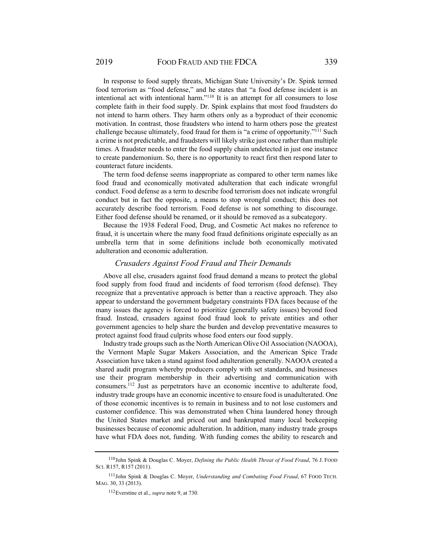In response to food supply threats, Michigan State University's Dr. Spink termed food terrorism as "food defense," and he states that "a food defense incident is an intentional act with intentional harm."<sup>110</sup> It is an attempt for all consumers to lose complete faith in their food supply. Dr. Spink explains that most food fraudsters do not intend to harm others. They harm others only as a byproduct of their economic motivation. In contrast, those fraudsters who intend to harm others pose the greatest challenge because ultimately, food fraud for them is "a crime of opportunity."111 Such a crime is not predictable, and fraudsters will likely strike just once rather than multiple times. A fraudster needs to enter the food supply chain undetected in just one instance to create pandemonium. So, there is no opportunity to react first then respond later to counteract future incidents.

The term food defense seems inappropriate as compared to other term names like food fraud and economically motivated adulteration that each indicate wrongful conduct. Food defense as a term to describe food terrorism does not indicate wrongful conduct but in fact the opposite, a means to stop wrongful conduct; this does not accurately describe food terrorism. Food defense is not something to discourage. Either food defense should be renamed, or it should be removed as a subcategory.

Because the 1938 Federal Food, Drug, and Cosmetic Act makes no reference to fraud, it is uncertain where the many food fraud definitions originate especially as an umbrella term that in some definitions include both economically motivated adulteration and economic adulteration.

#### *Crusaders Against Food Fraud and Their Demands*

Above all else, crusaders against food fraud demand a means to protect the global food supply from food fraud and incidents of food terrorism (food defense). They recognize that a preventative approach is better than a reactive approach. They also appear to understand the government budgetary constraints FDA faces because of the many issues the agency is forced to prioritize (generally safety issues) beyond food fraud. Instead, crusaders against food fraud look to private entities and other government agencies to help share the burden and develop preventative measures to protect against food fraud culprits whose food enters our food supply.

Industry trade groups such as the North American Olive Oil Association (NAOOA), the Vermont Maple Sugar Makers Association, and the American Spice Trade Association have taken a stand against food adulteration generally. NAOOA created a shared audit program whereby producers comply with set standards, and businesses use their program membership in their advertising and communication with consumers.112 Just as perpetrators have an economic incentive to adulterate food, industry trade groups have an economic incentive to ensure food is unadulterated. One of those economic incentives is to remain in business and to not lose customers and customer confidence. This was demonstrated when China laundered honey through the United States market and priced out and bankrupted many local beekeeping businesses because of economic adulteration. In addition, many industry trade groups have what FDA does not, funding. With funding comes the ability to research and

<sup>110</sup> John Spink & Douglas C. Moyer, *Defining the Public Health Threat of Food Fraud*, 76 J. FOOD SCI. R157, R157 (2011).

<sup>111</sup> John Spink & Douglas C. Moyer, *Understanding and Combating Food Fraud*, 67 FOOD TECH. MAG. 30, 33 (2013).

<sup>112</sup> Everstine et al., *supra* note 9, at 730.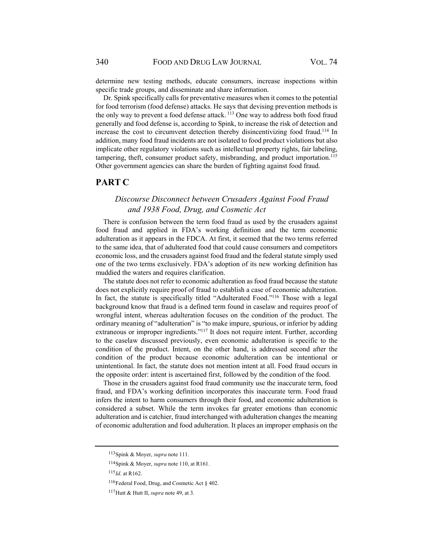determine new testing methods, educate consumers, increase inspections within specific trade groups, and disseminate and share information.

Dr. Spink specifically calls for preventative measures when it comes to the potential for food terrorism (food defense) attacks. He says that devising prevention methods is the only way to prevent a food defense attack. <sup>113</sup> One way to address both food fraud generally and food defense is, according to Spink, to increase the risk of detection and increase the cost to circumvent detection thereby disincentivizing food fraud.<sup>114</sup> In addition, many food fraud incidents are not isolated to food product violations but also implicate other regulatory violations such as intellectual property rights, fair labeling, tampering, theft, consumer product safety, misbranding, and product importation.<sup>115</sup> Other government agencies can share the burden of fighting against food fraud.

#### **PART C**

### *Discourse Disconnect between Crusaders Against Food Fraud and 1938 Food, Drug, and Cosmetic Act*

There is confusion between the term food fraud as used by the crusaders against food fraud and applied in FDA's working definition and the term economic adulteration as it appears in the FDCA. At first, it seemed that the two terms referred to the same idea, that of adulterated food that could cause consumers and competitors economic loss, and the crusaders against food fraud and the federal statute simply used one of the two terms exclusively. FDA's adoption of its new working definition has muddied the waters and requires clarification.

The statute does not refer to economic adulteration as food fraud because the statute does not explicitly require proof of fraud to establish a case of economic adulteration. In fact, the statute is specifically titled "Adulterated Food."116 Those with a legal background know that fraud is a defined term found in caselaw and requires proof of wrongful intent, whereas adulteration focuses on the condition of the product. The ordinary meaning of "adulteration" is "to make impure, spurious, or inferior by adding extraneous or improper ingredients."<sup>117</sup> It does not require intent. Further, according to the caselaw discussed previously, even economic adulteration is specific to the condition of the product. Intent, on the other hand, is addressed second after the condition of the product because economic adulteration can be intentional or unintentional. In fact, the statute does not mention intent at all. Food fraud occurs in the opposite order: intent is ascertained first, followed by the condition of the food.

Those in the crusaders against food fraud community use the inaccurate term, food fraud, and FDA's working definition incorporates this inaccurate term. Food fraud infers the intent to harm consumers through their food, and economic adulteration is considered a subset. While the term invokes far greater emotions than economic adulteration and is catchier, fraud interchanged with adulteration changes the meaning of economic adulteration and food adulteration. It places an improper emphasis on the

<sup>113</sup> Spink & Moyer, *supra* note 111.

<sup>114</sup> Spink & Moyer, *supra* note 110, at R161.

<sup>115</sup> *Id*. at R162.

<sup>116</sup> Federal Food, Drug, and Cosmetic Act § 402.

<sup>117</sup> Hutt & Hutt II, *supra* note 49, at 3.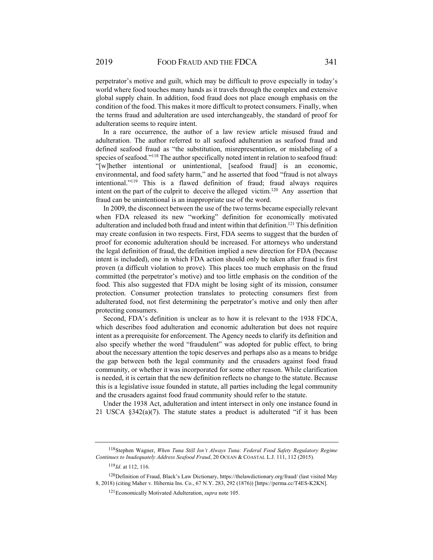perpetrator's motive and guilt, which may be difficult to prove especially in today's world where food touches many hands as it travels through the complex and extensive global supply chain. In addition, food fraud does not place enough emphasis on the condition of the food. This makes it more difficult to protect consumers. Finally, when the terms fraud and adulteration are used interchangeably, the standard of proof for adulteration seems to require intent.

In a rare occurrence, the author of a law review article misused fraud and adulteration. The author referred to all seafood adulteration as seafood fraud and defined seafood fraud as "the substitution, misrepresentation, or mislabeling of a species of seafood."<sup>118</sup> The author specifically noted intent in relation to seafood fraud: "[w]hether intentional or unintentional, [seafood fraud] is an economic, environmental, and food safety harm," and he asserted that food "fraud is not always intentional."119 This is a flawed definition of fraud; fraud always requires intent on the part of the culprit to deceive the alleged victim.<sup>120</sup> Any assertion that fraud can be unintentional is an inappropriate use of the word.

In 2009, the disconnect between the use of the two terms became especially relevant when FDA released its new "working" definition for economically motivated adulteration and included both fraud and intent within that definition.<sup>121</sup> This definition may create confusion in two respects. First, FDA seems to suggest that the burden of proof for economic adulteration should be increased. For attorneys who understand the legal definition of fraud, the definition implied a new direction for FDA (because intent is included), one in which FDA action should only be taken after fraud is first proven (a difficult violation to prove). This places too much emphasis on the fraud committed (the perpetrator's motive) and too little emphasis on the condition of the food. This also suggested that FDA might be losing sight of its mission, consumer protection. Consumer protection translates to protecting consumers first from adulterated food, not first determining the perpetrator's motive and only then after protecting consumers.

Second, FDA's definition is unclear as to how it is relevant to the 1938 FDCA, which describes food adulteration and economic adulteration but does not require intent as a prerequisite for enforcement. The Agency needs to clarify its definition and also specify whether the word "fraudulent" was adopted for public effect, to bring about the necessary attention the topic deserves and perhaps also as a means to bridge the gap between both the legal community and the crusaders against food fraud community, or whether it was incorporated for some other reason. While clarification is needed, it is certain that the new definition reflects no change to the statute. Because this is a legislative issue founded in statute, all parties including the legal community and the crusaders against food fraud community should refer to the statute.

Under the 1938 Act, adulteration and intent intersect in only one instance found in 21 USCA §342(a)(7). The statute states a product is adulterated "if it has been

<sup>118</sup> Stephen Wagner, *When Tuna Still Isn't Always Tuna: Federal Food Safety Regulatory Regime Continues to Inadequately Address Seafood Fraud*, 20 OCEAN & COASTAL L.J. 111, 112 (2015).

<sup>119</sup> *Id*. at 112, 116.

<sup>120</sup> Definition of Fraud, Black's Law Dictionary, https://thelawdictionary.org/fraud/ (last visited May 8, 2018) (citing Maher v. Hibernia Ins. Co., 67 N.Y. 283, 292 (1876)) [https://perma.cc/T4ES-K2KN].

<sup>121</sup> Economically Motivated Adulteration, *supra* note 105.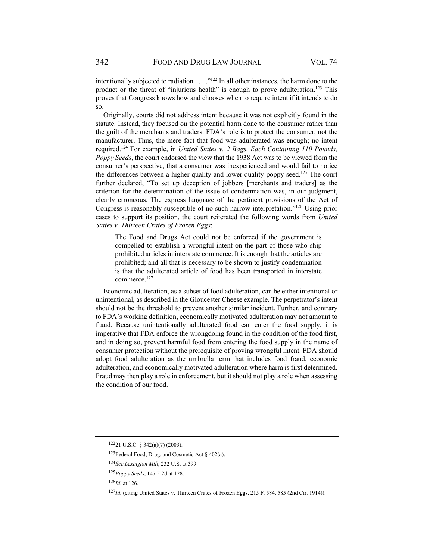intentionally subjected to radiation  $\ldots$ .  $\cdot$ <sup>122</sup> In all other instances, the harm done to the product or the threat of "injurious health" is enough to prove adulteration.<sup>123</sup> This proves that Congress knows how and chooses when to require intent if it intends to do so.

Originally, courts did not address intent because it was not explicitly found in the statute. Instead, they focused on the potential harm done to the consumer rather than the guilt of the merchants and traders. FDA's role is to protect the consumer, not the manufacturer. Thus, the mere fact that food was adulterated was enough; no intent required.124 For example, in *United States v. 2 Bags, Each Containing 110 Pounds, Poppy Seeds*, the court endorsed the view that the 1938 Act was to be viewed from the consumer's perspective, that a consumer was inexperienced and would fail to notice the differences between a higher quality and lower quality poppy seed.<sup>125</sup> The court further declared, "To set up deception of jobbers [merchants and traders] as the criterion for the determination of the issue of condemnation was, in our judgment, clearly erroneous. The express language of the pertinent provisions of the Act of Congress is reasonably susceptible of no such narrow interpretation."126 Using prior cases to support its position, the court reiterated the following words from *United States v. Thirteen Crates of Frozen Eggs*:

The Food and Drugs Act could not be enforced if the government is compelled to establish a wrongful intent on the part of those who ship prohibited articles in interstate commerce. It is enough that the articles are prohibited; and all that is necessary to be shown to justify condemnation is that the adulterated article of food has been transported in interstate commerce.<sup>127</sup>

Economic adulteration, as a subset of food adulteration, can be either intentional or unintentional, as described in the Gloucester Cheese example. The perpetrator's intent should not be the threshold to prevent another similar incident. Further, and contrary to FDA's working definition, economically motivated adulteration may not amount to fraud. Because unintentionally adulterated food can enter the food supply, it is imperative that FDA enforce the wrongdoing found in the condition of the food first, and in doing so, prevent harmful food from entering the food supply in the name of consumer protection without the prerequisite of proving wrongful intent. FDA should adopt food adulteration as the umbrella term that includes food fraud, economic adulteration, and economically motivated adulteration where harm is first determined. Fraud may then play a role in enforcement, but it should not play a role when assessing the condition of our food.

<sup>122 21</sup> U.S.C. § 342(a)(7) (2003).

<sup>&</sup>lt;sup>123</sup> Federal Food, Drug, and Cosmetic Act  $\frac{123}{6}$  402(a).

<sup>124</sup> *See Lexington Mill*, 232 U.S. at 399.

<sup>125</sup> *Poppy Seeds*, 147 F.2d at 128.

<sup>126</sup> *Id.* at 126.

<sup>127</sup> *Id.* (citing United States v. Thirteen Crates of Frozen Eggs, 215 F. 584, 585 (2nd Cir. 1914)).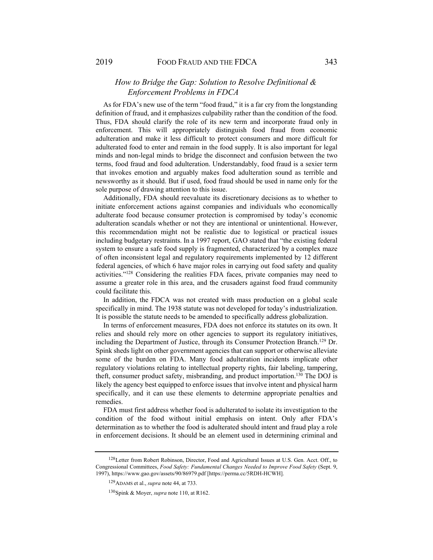# *How to Bridge the Gap: Solution to Resolve Definitional & Enforcement Problems in FDCA*

As for FDA's new use of the term "food fraud," it is a far cry from the longstanding definition of fraud, and it emphasizes culpability rather than the condition of the food. Thus, FDA should clarify the role of its new term and incorporate fraud only in enforcement. This will appropriately distinguish food fraud from economic adulteration and make it less difficult to protect consumers and more difficult for adulterated food to enter and remain in the food supply. It is also important for legal minds and non-legal minds to bridge the disconnect and confusion between the two terms, food fraud and food adulteration. Understandably, food fraud is a sexier term that invokes emotion and arguably makes food adulteration sound as terrible and newsworthy as it should. But if used, food fraud should be used in name only for the sole purpose of drawing attention to this issue.

Additionally, FDA should reevaluate its discretionary decisions as to whether to initiate enforcement actions against companies and individuals who economically adulterate food because consumer protection is compromised by today's economic adulteration scandals whether or not they are intentional or unintentional. However, this recommendation might not be realistic due to logistical or practical issues including budgetary restraints. In a 1997 report, GAO stated that "the existing federal system to ensure a safe food supply is fragmented, characterized by a complex maze of often inconsistent legal and regulatory requirements implemented by 12 different federal agencies, of which 6 have major roles in carrying out food safety and quality activities."128 Considering the realities FDA faces, private companies may need to assume a greater role in this area, and the crusaders against food fraud community could facilitate this.

In addition, the FDCA was not created with mass production on a global scale specifically in mind. The 1938 statute was not developed for today's industrialization. It is possible the statute needs to be amended to specifically address globalization.

In terms of enforcement measures, FDA does not enforce its statutes on its own. It relies and should rely more on other agencies to support its regulatory initiatives, including the Department of Justice, through its Consumer Protection Branch.<sup>129</sup> Dr. Spink sheds light on other government agencies that can support or otherwise alleviate some of the burden on FDA. Many food adulteration incidents implicate other regulatory violations relating to intellectual property rights, fair labeling, tampering, theft, consumer product safety, misbranding, and product importation.<sup>130</sup> The DOJ is likely the agency best equipped to enforce issues that involve intent and physical harm specifically, and it can use these elements to determine appropriate penalties and remedies.

FDA must first address whether food is adulterated to isolate its investigation to the condition of the food without initial emphasis on intent. Only after FDA's determination as to whether the food is adulterated should intent and fraud play a role in enforcement decisions. It should be an element used in determining criminal and

<sup>&</sup>lt;sup>128</sup> Letter from Robert Robinson, Director, Food and Agricultural Issues at U.S. Gen. Acct. Off., to Congressional Committees, *Food Safety: Fundamental Changes Needed to Improve Food Safety* (Sept. 9, 1997), https://www.gao.gov/assets/90/86979.pdf [https://perma.cc/5RDH-HCWH].

<sup>129</sup> ADAMS et al., *supra* note 44, at 733.

<sup>130</sup> Spink & Moyer, *supra* note 110, at R162.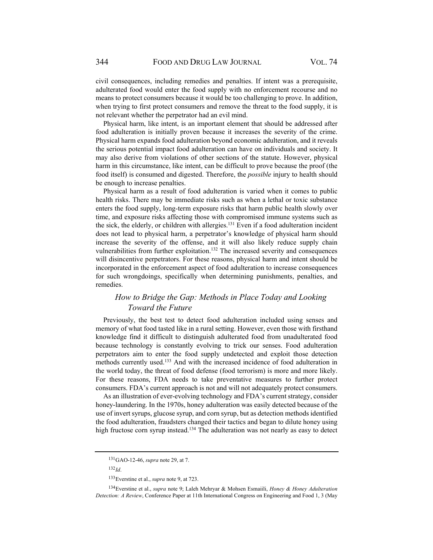civil consequences, including remedies and penalties. If intent was a prerequisite, adulterated food would enter the food supply with no enforcement recourse and no means to protect consumers because it would be too challenging to prove. In addition, when trying to first protect consumers and remove the threat to the food supply, it is not relevant whether the perpetrator had an evil mind.

Physical harm, like intent, is an important element that should be addressed after food adulteration is initially proven because it increases the severity of the crime. Physical harm expands food adulteration beyond economic adulteration, and it reveals the serious potential impact food adulteration can have on individuals and society. It may also derive from violations of other sections of the statute. However, physical harm in this circumstance, like intent, can be difficult to prove because the proof (the food itself) is consumed and digested. Therefore, the *possible* injury to health should be enough to increase penalties.

Physical harm as a result of food adulteration is varied when it comes to public health risks. There may be immediate risks such as when a lethal or toxic substance enters the food supply, long-term exposure risks that harm public health slowly over time, and exposure risks affecting those with compromised immune systems such as the sick, the elderly, or children with allergies. $131$  Even if a food adulteration incident does not lead to physical harm, a perpetrator's knowledge of physical harm should increase the severity of the offense, and it will also likely reduce supply chain vulnerabilities from further exploitation.<sup>132</sup> The increased severity and consequences will disincentive perpetrators. For these reasons, physical harm and intent should be incorporated in the enforcement aspect of food adulteration to increase consequences for such wrongdoings, specifically when determining punishments, penalties, and remedies.

# *How to Bridge the Gap: Methods in Place Today and Looking Toward the Future*

Previously, the best test to detect food adulteration included using senses and memory of what food tasted like in a rural setting. However, even those with firsthand knowledge find it difficult to distinguish adulterated food from unadulterated food because technology is constantly evolving to trick our senses. Food adulteration perpetrators aim to enter the food supply undetected and exploit those detection methods currently used.133 And with the increased incidence of food adulteration in the world today, the threat of food defense (food terrorism) is more and more likely. For these reasons, FDA needs to take preventative measures to further protect consumers. FDA's current approach is not and will not adequately protect consumers.

As an illustration of ever-evolving technology and FDA's current strategy, consider honey-laundering. In the 1970s, honey adulteration was easily detected because of the use of invert syrups, glucose syrup, and corn syrup, but as detection methods identified the food adulteration, fraudsters changed their tactics and began to dilute honey using high fructose corn syrup instead.<sup>134</sup> The adulteration was not nearly as easy to detect

 $132$ *Id.* 

<sup>131</sup> GAO-12-46, *supra* note 29, at 7.

<sup>133</sup> Everstine et al., *supra* note 9, at 723.

<sup>134</sup> Everstine et al., *supra* note 9; Laleh Mehryar & Mohsen Esmaiili, *Honey & Honey Adulteration Detection: A Review*, Conference Paper at 11th International Congress on Engineering and Food 1, 3 (May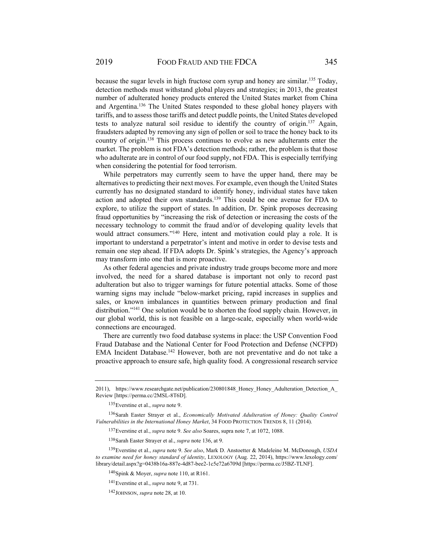because the sugar levels in high fructose corn syrup and honey are similar.<sup>135</sup> Today, detection methods must withstand global players and strategies; in 2013, the greatest number of adulterated honey products entered the United States market from China and Argentina.136 The United States responded to these global honey players with tariffs, and to assess those tariffs and detect puddle points, the United States developed tests to analyze natural soil residue to identify the country of origin.<sup>137</sup> Again, fraudsters adapted by removing any sign of pollen or soil to trace the honey back to its country of origin.138 This process continues to evolve as new adulterants enter the market. The problem is not FDA's detection methods; rather, the problem is that those who adulterate are in control of our food supply, not FDA. This is especially terrifying when considering the potential for food terrorism.

While perpetrators may currently seem to have the upper hand, there may be alternatives to predicting their next moves. For example, even though the United States currently has no designated standard to identify honey, individual states have taken action and adopted their own standards.139 This could be one avenue for FDA to explore, to utilize the support of states. In addition, Dr. Spink proposes decreasing fraud opportunities by "increasing the risk of detection or increasing the costs of the necessary technology to commit the fraud and/or of developing quality levels that would attract consumers."<sup>140</sup> Here, intent and motivation could play a role. It is important to understand a perpetrator's intent and motive in order to devise tests and remain one step ahead. If FDA adopts Dr. Spink's strategies, the Agency's approach may transform into one that is more proactive.

As other federal agencies and private industry trade groups become more and more involved, the need for a shared database is important not only to record past adulteration but also to trigger warnings for future potential attacks. Some of those warning signs may include "below-market pricing, rapid increases in supplies and sales, or known imbalances in quantities between primary production and final distribution."141 One solution would be to shorten the food supply chain. However, in our global world, this is not feasible on a large-scale, especially when world-wide connections are encouraged.

There are currently two food database systems in place: the USP Convention Food Fraud Database and the National Center for Food Protection and Defense (NCFPD) EMA Incident Database.<sup>142</sup> However, both are not preventative and do not take a proactive approach to ensure safe, high quality food. A congressional research service

135 Everstine et al., *supra* note 9.

136 Sarah Easter Strayer et al., *Economically Motivated Adulteration of Honey: Quality Control Vulnerabilities in the International Honey Market*, 34 FOOD PROTECTION TRENDS 8, 11 (2014).

137 Everstine et al., *supra* note 9. *See also* Soares, supra note 7, at 1072, 1088.

138 Sarah Easter Strayer et al., *supra* note 136, at 9.

139 Everstine et al., *supra* note 9. *See also*, Mark D. Anstoetter & Madeleine M. McDonough, *USDA to examine need for honey standard of identity*, LEXOLOGY (Aug. 22, 2014), https://www.lexology.com/ library/detail.aspx?g=0438b16a-887e-4d87-bee2-1c5e72a6709d [https://perma.cc/J5BZ-TLNF].

140 Spink & Moyer, *supra* note 110, at R161.

<sup>2011),</sup> https://www.researchgate.net/publication/230801848\_Honey\_Honey\_Adulteration\_Detection\_A\_ Review [https://perma.cc/2MSL-8T6D].

<sup>141</sup> Everstine et al., *supra* note 9, at 731.

<sup>142</sup> JOHNSON, *supra* note 28, at 10.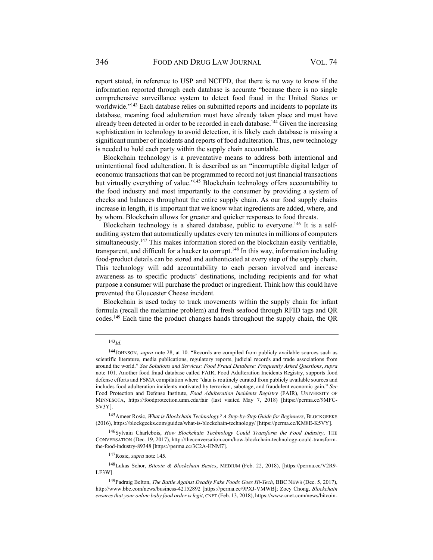report stated, in reference to USP and NCFPD, that there is no way to know if the information reported through each database is accurate "because there is no single comprehensive surveillance system to detect food fraud in the United States or worldwide."<sup>143</sup> Each database relies on submitted reports and incidents to populate its database, meaning food adulteration must have already taken place and must have already been detected in order to be recorded in each database.<sup>144</sup> Given the increasing sophistication in technology to avoid detection, it is likely each database is missing a significant number of incidents and reports of food adulteration. Thus, new technology is needed to hold each party within the supply chain accountable.

Blockchain technology is a preventative means to address both intentional and unintentional food adulteration. It is described as an "incorruptible digital ledger of economic transactions that can be programmed to record not just financial transactions but virtually everything of value."<sup>145</sup> Blockchain technology offers accountability to the food industry and most importantly to the consumer by providing a system of checks and balances throughout the entire supply chain. As our food supply chains increase in length, it is important that we know what ingredients are added, where, and by whom. Blockchain allows for greater and quicker responses to food threats.

Blockchain technology is a shared database, public to everyone.<sup>146</sup> It is a selfauditing system that automatically updates every ten minutes in millions of computers simultaneously.<sup>147</sup> This makes information stored on the blockchain easily verifiable, transparent, and difficult for a hacker to corrupt.<sup>148</sup> In this way, information including food-product details can be stored and authenticated at every step of the supply chain. This technology will add accountability to each person involved and increase awareness as to specific products' destinations, including recipients and for what purpose a consumer will purchase the product or ingredient. Think how this could have prevented the Gloucester Cheese incident.

Blockchain is used today to track movements within the supply chain for infant formula (recall the melamine problem) and fresh seafood through RFID tags and QR codes.149 Each time the product changes hands throughout the supply chain, the QR

<sup>143</sup> *Id*.

<sup>144</sup> JOHNSON, *supra* note 28, at 10. "Records are compiled from publicly available sources such as scientific literature, media publications, regulatory reports, judicial records and trade associations from around the world." *See Solutions and Services: Food Fraud Database: Frequently Asked Questions*, *supra* note 101. Another food fraud database called FAIR, Food Adulteration Incidents Registry, supports food defense efforts and FSMA compilation where "data is routinely curated from publicly available sources and includes food adulteration incidents motivated by terrorism, sabotage, and fraudulent economic gain." *See*  Food Protection and Defense Institute, *Food Adulteration Incidents Registry* (FAIR), UNIVERSITY OF MINNESOTA, https://foodprotection.umn.edu/fair (last visited May 7, 2018) [https://perma.cc/9MFC-SV3Y].

<sup>145</sup> Ameer Rosic, *What is Blockchain Technology? A Step-by-Step Guide for Beginners*, BLOCKGEEKS (2016), https://blockgeeks.com/guides/what-is-blockchain-technology/ [https://perma.cc/KM8E-K5VY].

<sup>146</sup> Sylvain Charlebois, *How Blockchain Technology Could Transform the Food Industry*, THE CONVERSATION (Dec. 19, 2017), http://theconversation.com/how-blockchain-technology-could-transformthe-food-industry-89348 [https://perma.cc/3C2A-HNM7].

<sup>147</sup> Rosic, *supra* note 145.

<sup>148</sup> Lukas Schor, *Bitcoin & Blockchain Basics*, MEDIUM (Feb. 22, 2018), [https://perma.cc/V2R9- LF3W].

<sup>149</sup> Padraig Belton, *The Battle Against Deadly Fake Foods Goes Hi-Tech*, BBC NEWS (Dec. 5, 2017), http://www.bbc.com/news/business-42152892 [https://perma.cc/9PXJ-VMWB]; Zoey Chong, *Blockchain ensures that your online baby food order is legit*, CNET (Feb. 13, 2018), https://www.cnet.com/news/bitcoin-